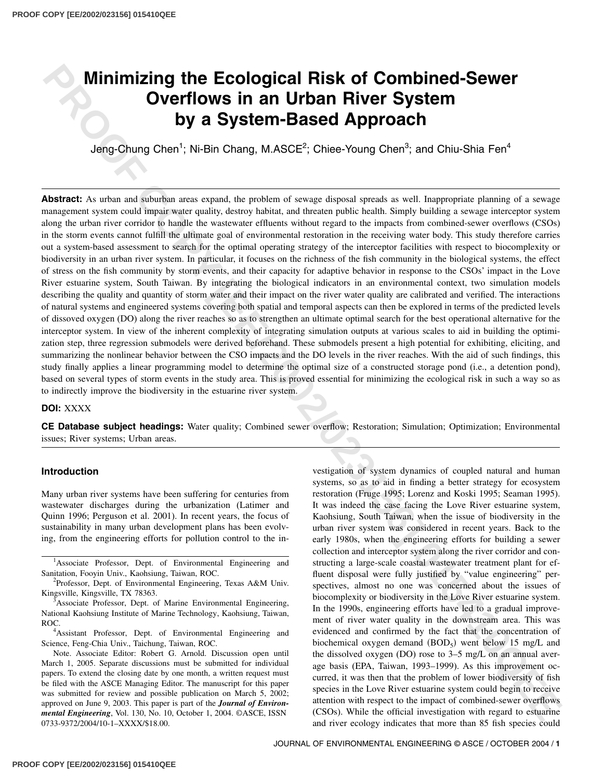# **Minimizing the Ecological Risk of Combined-Sewer Overflows in an Urban River System by a System-Based Approach**

Jeng-Chung Chen<sup>1</sup>; Ni-Bin Chang, M.ASCE<sup>2</sup>; Chiee-Young Chen<sup>3</sup>; and Chiu-Shia Fen<sup>4</sup>

**Minimizing the Ecological Risk of Combined-Sewer<br>Coverflows in an Urban River System Based Approach<br>
by a System-Based Approach<br>
Lings Chung Chen<sup>1</sup>: Niella Cheng, MASCE<sup>2</sup>: Chies<sup>1</sup>/cone Young Chen<sup>2</sup>: and Chiu-Shis Fen** Abstract: As urban and suburban areas expand, the problem of sewage disposal spreads as well. Inappropriate planning of a sewage management system could impair water quality, destroy habitat, and threaten public health. Simply building a sewage interceptor system along the urban river corridor to handle the wastewater effluents without regard to the impacts from combined-sewer overflows (CSOs) in the storm events cannot fulfill the ultimate goal of environmental restoration in the receiving water body. This study therefore carries out a system-based assessment to search for the optimal operating strategy of the interceptor facilities with respect to biocomplexity or biodiversity in an urban river system. In particular, it focuses on the richness of the fish community in the biological systems, the effect of stress on the fish community by storm events, and their capacity for adaptive behavior in response to the CSOs' impact in the Love River estuarine system, South Taiwan. By integrating the biological indicators in an environmental context, two simulation models describing the quality and quantity of storm water and their impact on the river water quality are calibrated and verified. The interactions of natural systems and engineered systems covering both spatial and temporal aspects can then be explored in terms of the predicted levels of dissoved oxygen (DO) along the river reaches so as to strengthen an ultimate optimal search for the best operational alternative for the interceptor system. In view of the inherent complexity of integrating simulation outputs at various scales to aid in building the optimization step, three regression submodels were derived beforehand. These submodels present a high potential for exhibiting, eliciting, and summarizing the nonlinear behavior between the CSO impacts and the DO levels in the river reaches. With the aid of such findings, this study finally applies a linear programming model to determine the optimal size of a constructed storage pond (i.e., a detention pond), based on several types of storm events in the study area. This is proved essential for minimizing the ecological risk in such a way so as to indirectly improve the biodiversity in the estuarine river system.

# **DOI:** XXXX

**CE Database subject headings:** Water quality; Combined sewer overflow; Restoration; Simulation; Optimization; Environmental issues; River systems; Urban areas.

# **Introduction**

Many urban river systems have been suffering for centuries from wastewater discharges during the urbanization (Latimer and Quinn 1996; Perguson et al. 2001). In recent years, the focus of sustainability in many urban development plans has been evolving, from the engineering efforts for pollution control to the in-

<sup>1</sup>Associate Professor, Dept. of Environmental Engineering and Sanitation, Fooyin Univ., Kaohsiung, Taiwan, ROC. <sup>2</sup>

<sup>2</sup>Professor, Dept. of Environmental Engineering, Texas A&M Univ. Kingsville, Kingsville, TX 78363.

Associate Professor, Dept. of Marine Environmental Engineering, National Kaohsiung Institute of Marine Technology, Kaohsiung, Taiwan, ROC.

Assistant Professor, Dept. of Environmental Engineering and Science, Feng-Chia Univ., Taichung, Taiwan, ROC.

Note. Associate Editor: Robert G. Arnold. Discussion open until March 1, 2005. Separate discussions must be submitted for individual papers. To extend the closing date by one month, a written request must be filed with the ASCE Managing Editor. The manuscript for this paper was submitted for review and possible publication on March 5, 2002; approved on June 9, 2003. This paper is part of the *Journal of Environmental Engineering*, Vol. 130, No. 10, October 1, 2004. ©ASCE, ISSN 0733-9372/2004/10-1–XXXX/\$18.00.

vestigation of system dynamics of coupled natural and human systems, so as to aid in finding a better strategy for ecosystem restoration (Fruge 1995; Lorenz and Koski 1995; Seaman 1995). It was indeed the case facing the Love River estuarine system, Kaohsiung, South Taiwan, when the issue of biodiversity in the urban river system was considered in recent years. Back to the early 1980s, when the engineering efforts for building a sewer collection and interceptor system along the river corridor and constructing a large-scale coastal wastewater treatment plant for effluent disposal were fully justified by "value engineering" perspectives, almost no one was concerned about the issues of biocomplexity or biodiversity in the Love River estuarine system. In the 1990s, engineering efforts have led to a gradual improvement of river water quality in the downstream area. This was evidenced and confirmed by the fact that the concentration of biochemical oxygen demand (BOD<sub>5</sub>) went below 15 mg/L and the dissolved oxygen (DO) rose to 3–5 mg/L on an annual average basis (EPA, Taiwan, 1993–1999). As this improvement occurred, it was then that the problem of lower biodiversity of fish species in the Love River estuarine system could begin to receive attention with respect to the impact of combined-sewer overflows (CSOs). While the official investigation with regard to estuarine and river ecology indicates that more than 85 fish species could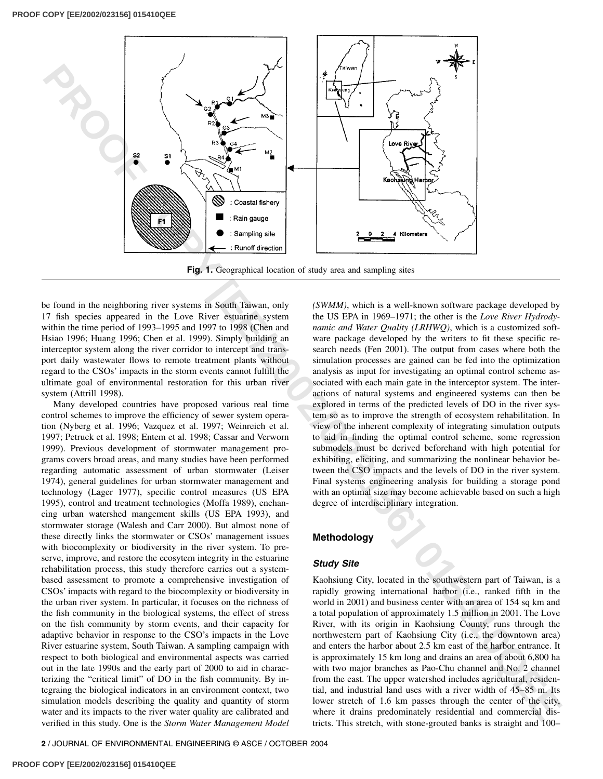

**Fig. 1.** Geographical location of study area and sampling sites

be found in the neighboring river systems in South Taiwan, only 17 fish species appeared in the Love River estuarine system within the time period of 1993–1995 and 1997 to 1998 (Chen and Hsiao 1996; Huang 1996; Chen et al. 1999). Simply building an interceptor system along the river corridor to intercept and transport daily wastewater flows to remote treatment plants without regard to the CSOs' impacts in the storm events cannot fulfill the ultimate goal of environmental restoration for this urban river system (Attrill 1998).

Many developed countries have proposed various real time control schemes to improve the efficiency of sewer system operation (Nyberg et al. 1996; Vazquez et al. 1997; Weinreich et al. 1997; Petruck et al. 1998; Entem et al. 1998; Cassar and Verworn 1999). Previous development of stormwater management programs covers broad areas, and many studies have been performed regarding automatic assessment of urban stormwater (Leiser 1974), general guidelines for urban stormwater management and technology (Lager 1977), specific control measures (US EPA 1995), control and treatment technologies (Moffa 1989), enchancing urban watershed mangement skills (US EPA 1993), and stormwater storage (Walesh and Carr 2000). But almost none of these directly links the stormwater or CSOs' management issues with biocomplexity or biodiversity in the river system. To preserve, improve, and restore the ecosytem integrity in the estuarine rehabilitation process, this study therefore carries out a systembased assessment to promote a comprehensive investigation of CSOs' impacts with regard to the biocomplexity or biodiversity in the urban river system. In particular, it focuses on the richness of the fish community in the biological systems, the effect of stress on the fish community by storm events, and their capacity for adaptive behavior in response to the CSO's impacts in the Love River estuarine system, South Taiwan. A sampling campaign with respect to both biological and environmental aspects was carried out in the late 1990s and the early part of 2000 to aid in characterizing the "critical limit" of DO in the fish community. By integraing the biological indicators in an environment context, two simulation models describing the quality and quantity of storm water and its impacts to the river water quality are calibrated and verified in this study. One is the *Storm Water Management Model* *(SWMM)*, which is a well-known software package developed by the US EPA in 1969–1971; the other is the *Love River Hydrodynamic and Water Quality (LRHWQ)*, which is a customized software package developed by the writers to fit these specific research needs (Fen 2001). The output from cases where both the simulation processes are gained can be fed into the optimization analysis as input for investigating an optimal control scheme associated with each main gate in the interceptor system. The interactions of natural systems and engineered systems can then be explored in terms of the predicted levels of DO in the river system so as to improve the strength of ecosystem rehabilitation. In view of the inherent complexity of integrating simulation outputs to aid in finding the optimal control scheme, some regression submodels must be derived beforehand with high potential for exhibiting, eliciting, and summarizing the nonlinear behavior between the CSO impacts and the levels of DO in the river system. Final systems engineering analysis for building a storage pond with an optimal size may become achievable based on such a high degree of interdisciplinary integration.

# **Methodology**

# *Study Site*

Kaohsiung City, located in the southwestern part of Taiwan, is a rapidly growing international harbor (i.e., ranked fifth in the world in 2001) and business center with an area of 154 sq km and a total population of approximately 1.5 million in 2001. The Love River, with its origin in Kaohsiung County, runs through the northwestern part of Kaohsiung City (i.e., the downtown area) and enters the harbor about 2.5 km east of the harbor entrance. It is approximately 15 km long and drains an area of about 6,800 ha with two major branches as Pao-Chu channel and No. 2 channel from the east. The upper watershed includes agricultural, residential, and industrial land uses with a river width of 45–85 m. Its lower stretch of 1.6 km passes through the center of the city, where it drains predominately residential and commercial districts. This stretch, with stone-grouted banks is straight and 100–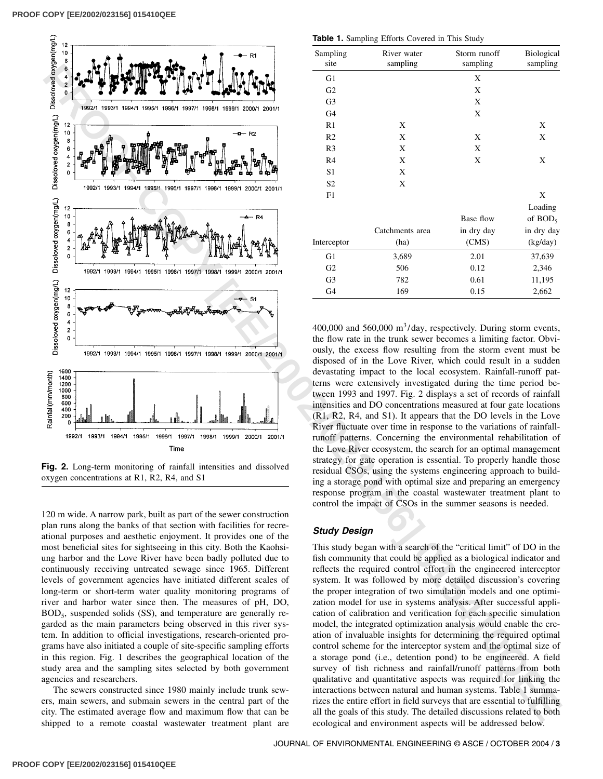



120 m wide. A narrow park, built as part of the sewer construction plan runs along the banks of that section with facilities for recreational purposes and aesthetic enjoyment. It provides one of the most beneficial sites for sightseeing in this city. Both the Kaohsiung harbor and the Love River have been badly polluted due to continuously receiving untreated sewage since 1965. Different levels of government agencies have initiated different scales of long-term or short-term water quality monitoring programs of river and harbor water since then. The measures of pH, DO,  $BOD<sub>5</sub>$ , suspended solids (SS), and temperature are generally regarded as the main parameters being observed in this river system. In addition to official investigations, research-oriented programs have also initiated a couple of site-specific sampling efforts in this region. Fig. 1 describes the geographical location of the study area and the sampling sites selected by both government agencies and researchers.

The sewers constructed since 1980 mainly include trunk sewers, main sewers, and submain sewers in the central part of the city. The estimated average flow and maximum flow that can be shipped to a remote coastal wastewater treatment plant are

**Table 1.** Sampling Efforts Covered in This Study

| Sampling<br>site | River water<br>sampling | Storm runoff<br>sampling | <b>Biological</b><br>sampling |
|------------------|-------------------------|--------------------------|-------------------------------|
| G1               |                         | X                        |                               |
| G <sub>2</sub>   |                         | X                        |                               |
| G <sub>3</sub>   |                         | X                        |                               |
| G <sub>4</sub>   |                         | X                        |                               |
| R1               | X                       |                          | X                             |
| R <sub>2</sub>   | Χ                       | X                        | X                             |
| R <sub>3</sub>   | X                       | X                        |                               |
| R <sub>4</sub>   | X                       | X                        | X                             |
| S <sub>1</sub>   | X                       |                          |                               |
| S <sub>2</sub>   | X                       |                          |                               |
| F1               |                         |                          | X                             |
|                  |                         |                          | Loading                       |
|                  |                         | Base flow                | of $BOD5$                     |
|                  | Catchments area         | in dry day               | in dry day                    |
| Interceptor      | (ha)                    | (CMS)                    | (kg/day)                      |
| G1               | 3,689                   | 2.01                     | 37,639                        |
| G <sub>2</sub>   | 506                     | 0.12                     | 2,346                         |
| G <sub>3</sub>   | 782                     | 0.61                     | 11,195                        |
| G <sub>4</sub>   | 169                     | 0.15                     | 2,662                         |
|                  |                         |                          |                               |

400,000 and  $560,000 \text{ m}^3/\text{day}$ , respectively. During storm events, the flow rate in the trunk sewer becomes a limiting factor. Obviously, the excess flow resulting from the storm event must be disposed of in the Love River, which could result in a sudden devastating impact to the local ecosystem. Rainfall-runoff patterns were extensively investigated during the time period between 1993 and 1997. Fig. 2 displays a set of records of rainfall intensities and DO concentrations measured at four gate locations (R1, R2, R4, and S1). It appears that the DO levels in the Love River fluctuate over time in response to the variations of rainfallrunoff patterns. Concerning the environmental rehabilitation of the Love River ecosystem, the search for an optimal management strategy for gate operation is essential. To properly handle those residual CSOs, using the systems engineering approach to building a storage pond with optimal size and preparing an emergency response program in the coastal wastewater treatment plant to control the impact of CSOs in the summer seasons is needed.

# *Study Design*

This study began with a search of the "critical limit" of DO in the fish community that could be applied as a biological indicator and reflects the required control effort in the engineered interceptor system. It was followed by more detailed discussion's covering the proper integration of two simulation models and one optimization model for use in systems analysis. After successful application of calibration and verification for each specific simulation model, the integrated optimization analysis would enable the creation of invaluable insights for determining the required optimal control scheme for the interceptor system and the optimal size of a storage pond (i.e., detention pond) to be engineered. A field survey of fish richness and rainfall/runoff patterns from both qualitative and quantitative aspects was required for linking the interactions between natural and human systems. Table 1 summarizes the entire effort in field surveys that are essential to fulfilling all the goals of this study. The detailed discussions related to both ecological and environment aspects will be addressed below.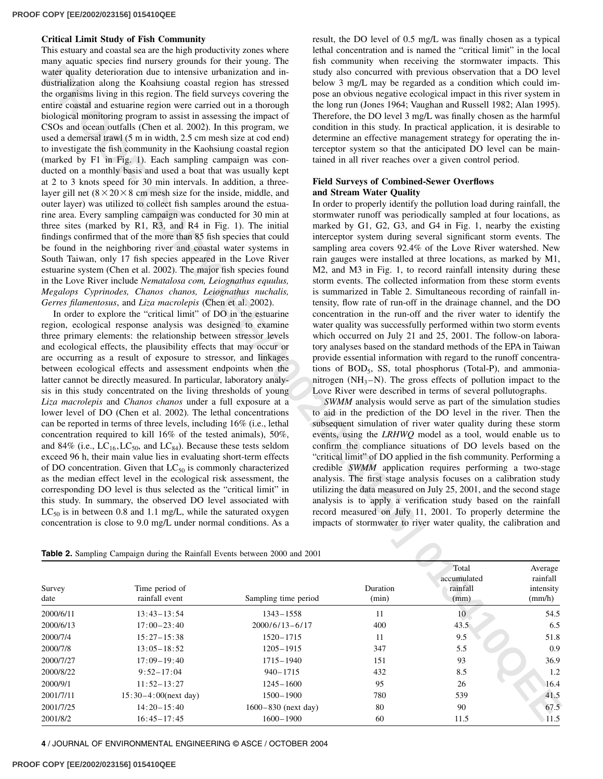## **Critical Limit Study of Fish Community**

This estuary and coastal sea are the high productivity zones where many aquatic species find nursery grounds for their young. The water quality deterioration due to intensive urbanization and industrialization along the Koahsiung coastal region has stressed the organisms living in this region. The field surveys covering the entire coastal and estuarine region were carried out in a thorough biological monitoring program to assist in assessing the impact of CSOs and ocean outfalls (Chen et al. 2002). In this program, we used a demersal trawl (5 m in width, 2.5 cm mesh size at cod end) to investigate the fish community in the Kaohsiung coastal region (marked by F1 in Fig. 1). Each sampling campaign was conducted on a monthly basis and used a boat that was usually kept at 2 to 3 knots speed for 30 min intervals. In addition, a threelayer gill net  $(8 \times 20 \times 8$  cm mesh size for the inside, middle, and outer layer) was utilized to collect fish samples around the estuarine area. Every sampling campaign was conducted for 30 min at three sites (marked by R1, R3, and R4 in Fig. 1). The initial findings confirmed that of the more than 85 fish species that could be found in the neighboring river and coastal water systems in South Taiwan, only 17 fish species appeared in the Love River estuarine system (Chen et al. 2002). The major fish species found in the Love River include *Nematalosa com, Leiognathus equulus, Megalops Cyprinodes, Chanos chanos, Leiognathus nuchalis, Gerres filamentosus*, and *Liza macrolepis* (Chen et al. 2002).

result, the DO level of 0.5 mg/L was finally chosen as a typical lethal concentration and is named the "critical limit" in the local fish community when receiving the stormwater impacts. This study also concurred with previous observation that a DO level below 3 mg/L may be regarded as a condition which could impose an obvious negative ecological impact in this river system in the long run (Jones 1964; Vaughan and Russell 1982; Alan 1995). Therefore, the DO level 3 mg/L was finally chosen as the harmful condition in this study. In practical application, it is desirable to determine an effective management strategy for operating the interceptor system so that the anticipated DO level can be maintained in all river reaches over a given control period.

# **Field Surveys of Combined-Sewer Overflows and Stream Water Quality**

|                        | entire coastal and estuarine region were carried out in a thorough<br>biological monitoring program to assist in assessing the impact of<br>CSOs and ocean outfalls (Chen et al. 2002). In this program, we<br>used a demersal trawl (5 m in width, 2.5 cm mesh size at cod end)<br>to investigate the fish community in the Kaohsiung coastal region<br>(marked by F1 in Fig. 1). Each sampling campaign was con-<br>ducted on a monthly basis and used a boat that was usually kept<br>at 2 to 3 knots speed for 30 min intervals. In addition, a three-<br>layer gill net $(8 \times 20 \times 8$ cm mesh size for the inside, middle, and<br>outer layer) was utilized to collect fish samples around the estua-<br>rine area. Every sampling campaign was conducted for 30 min at<br>three sites (marked by R1, R3, and R4 in Fig. 1). The initial<br>findings confirmed that of the more than 85 fish species that could<br>be found in the neighboring river and coastal water systems in<br>South Taiwan, only 17 fish species appeared in the Love River<br>estuarine system (Chen et al. 2002). The major fish species found<br>in the Love River include Nematalosa com, Leiognathus equulus,<br>Megalops Cyprinodes, Chanos chanos, Leiognathus nuchalis,<br>Gerres filamentosus, and Liza macrolepis (Chen et al. 2002).<br>In order to explore the "critical limit" of DO in the estuarine<br>region, ecological response analysis was designed to examine<br>three primary elements: the relationship between stressor levels<br>and ecological effects, the plausibility effects that may occur or<br>are occurring as a result of exposure to stressor, and linkages<br>between ecological effects and assessment endpoints when the<br>latter cannot be directly measured. In particular, laboratory analy-<br>sis in this study concentrated on the living thresholds of young<br>Liza macrolepis and Chanos chanos under a full exposure at a<br>lower level of DO (Chen et al. 2002). The lethal concentrations<br>can be reported in terms of three levels, including 16% (i.e., lethal | the organisms living in this region. The field surveys covering the | pose an obvious negative ecological impact in this river system in<br>the long run (Jones 1964; Vaughan and Russell 1982; Alan 1995).<br>Therefore, the DO level 3 mg/L was finally chosen as the harmful<br>condition in this study. In practical application, it is desirable to<br>determine an effective management strategy for operating the in-<br>terceptor system so that the anticipated DO level can be main-<br>tained in all river reaches over a given control period.<br><b>Field Surveys of Combined-Sewer Overflows</b><br>and Stream Water Quality<br>In order to properly identify the pollution load during rainfall, the<br>stormwater runoff was periodically sampled at four locations, as<br>marked by G1, G2, G3, and G4 in Fig. 1, nearby the existing<br>interceptor system during several significant storm events. The<br>sampling area covers 92.4% of the Love River watershed. New<br>rain gauges were installed at three locations, as marked by M1,<br>M2, and M3 in Fig. 1, to record rainfall intensity during these<br>storm events. The collected information from these storm events<br>is summarized in Table 2. Simultaneous recording of rainfall in-<br>tensity, flow rate of run-off in the drainage channel, and the DO<br>concentration in the run-off and the river water to identify the<br>water quality was successfully performed within two storm events<br>which occurred on July 21 and 25, 2001. The follow-on labora-<br>tory analyses based on the standard methods of the EPA in Taiwan<br>provide essential information with regard to the runoff concentra-<br>tions of BOD <sub>5</sub> , SS, total phosphorus (Total-P), and ammonia-<br>nitrogen (NH <sub>3</sub> -N). The gross effects of pollution impact to the<br>Love River were described in terms of several pollutographs.<br>SWMM analysis would serve as part of the simulation studies<br>to aid in the prediction of the DO level in the river. Then the<br>subsequent simulation of river water quality during these storm<br>events, using the LRHWQ model as a tool, would enable us to |                                                             |                                            |
|------------------------|---------------------------------------------------------------------------------------------------------------------------------------------------------------------------------------------------------------------------------------------------------------------------------------------------------------------------------------------------------------------------------------------------------------------------------------------------------------------------------------------------------------------------------------------------------------------------------------------------------------------------------------------------------------------------------------------------------------------------------------------------------------------------------------------------------------------------------------------------------------------------------------------------------------------------------------------------------------------------------------------------------------------------------------------------------------------------------------------------------------------------------------------------------------------------------------------------------------------------------------------------------------------------------------------------------------------------------------------------------------------------------------------------------------------------------------------------------------------------------------------------------------------------------------------------------------------------------------------------------------------------------------------------------------------------------------------------------------------------------------------------------------------------------------------------------------------------------------------------------------------------------------------------------------------------------------------------------------------------------------------------------------------------------------------------------------------------------------------------------------|---------------------------------------------------------------------|------------------------------------------------------------------------------------------------------------------------------------------------------------------------------------------------------------------------------------------------------------------------------------------------------------------------------------------------------------------------------------------------------------------------------------------------------------------------------------------------------------------------------------------------------------------------------------------------------------------------------------------------------------------------------------------------------------------------------------------------------------------------------------------------------------------------------------------------------------------------------------------------------------------------------------------------------------------------------------------------------------------------------------------------------------------------------------------------------------------------------------------------------------------------------------------------------------------------------------------------------------------------------------------------------------------------------------------------------------------------------------------------------------------------------------------------------------------------------------------------------------------------------------------------------------------------------------------------------------------------------------------------------------------------------------------------------------------------------------------------------------------------------------------------------------------------------------------------------------------------------------------------------------------------------------------------------------------------------------------------------------------------------------------------------------------------------------------------------------------------|-------------------------------------------------------------|--------------------------------------------|
|                        | concentration required to kill 16% of the tested animals), 50%,<br>and 84% (i.e., $LC_{16}$ , $LC_{50}$ , and $LC_{84}$ ). Because these tests seldom<br>exceed 96 h, their main value lies in evaluating short-term effects<br>of DO concentration. Given that $LC_{50}$ is commonly characterized<br>as the median effect level in the ecological risk assessment, the<br>corresponding DO level is thus selected as the "critical limit" in<br>this study. In summary, the observed DO level associated with<br>$LC_{50}$ is in between 0.8 and 1.1 mg/L, while the saturated oxygen<br>concentration is close to 9.0 mg/L under normal conditions. As a                                                                                                                                                                                                                                                                                                                                                                                                                                                                                                                                                                                                                                                                                                                                                                                                                                                                                                                                                                                                                                                                                                                                                                                                                                                                                                                                                                                                                                                   |                                                                     | "critical limit" of DO applied in the fish community. Performing a<br>credible SWMM application requires performing a two-stage<br>analysis. The first stage analysis focuses on a calibration study<br>utilizing the data measured on July 25, 2001, and the second stage<br>analysis is to apply a verification study based on the rainfall<br>record measured on July 11, 2001. To properly determine the<br>impacts of stormwater to river water quality, the calibration and                                                                                                                                                                                                                                                                                                                                                                                                                                                                                                                                                                                                                                                                                                                                                                                                                                                                                                                                                                                                                                                                                                                                                                                                                                                                                                                                                                                                                                                                                                                                                                                                                                      | confirm the compliance situations of DO levels based on the |                                            |
|                        | Table 2. Sampling Campaign during the Rainfall Events between 2000 and 2001                                                                                                                                                                                                                                                                                                                                                                                                                                                                                                                                                                                                                                                                                                                                                                                                                                                                                                                                                                                                                                                                                                                                                                                                                                                                                                                                                                                                                                                                                                                                                                                                                                                                                                                                                                                                                                                                                                                                                                                                                                   |                                                                     |                                                                                                                                                                                                                                                                                                                                                                                                                                                                                                                                                                                                                                                                                                                                                                                                                                                                                                                                                                                                                                                                                                                                                                                                                                                                                                                                                                                                                                                                                                                                                                                                                                                                                                                                                                                                                                                                                                                                                                                                                                                                                                                        |                                                             |                                            |
| Survey<br>date         | Time period of<br>rainfall event                                                                                                                                                                                                                                                                                                                                                                                                                                                                                                                                                                                                                                                                                                                                                                                                                                                                                                                                                                                                                                                                                                                                                                                                                                                                                                                                                                                                                                                                                                                                                                                                                                                                                                                                                                                                                                                                                                                                                                                                                                                                              | Sampling time period                                                | Duration<br>(min)                                                                                                                                                                                                                                                                                                                                                                                                                                                                                                                                                                                                                                                                                                                                                                                                                                                                                                                                                                                                                                                                                                                                                                                                                                                                                                                                                                                                                                                                                                                                                                                                                                                                                                                                                                                                                                                                                                                                                                                                                                                                                                      | Total<br>accumulated<br>rainfall<br>(mm)                    | Average<br>rainfall<br>intensity<br>(mm/h) |
| 2000/6/11              | $13:43 - 13:54$                                                                                                                                                                                                                                                                                                                                                                                                                                                                                                                                                                                                                                                                                                                                                                                                                                                                                                                                                                                                                                                                                                                                                                                                                                                                                                                                                                                                                                                                                                                                                                                                                                                                                                                                                                                                                                                                                                                                                                                                                                                                                               | $1343 - 1558$                                                       | 11                                                                                                                                                                                                                                                                                                                                                                                                                                                                                                                                                                                                                                                                                                                                                                                                                                                                                                                                                                                                                                                                                                                                                                                                                                                                                                                                                                                                                                                                                                                                                                                                                                                                                                                                                                                                                                                                                                                                                                                                                                                                                                                     | 10 <sup>°</sup>                                             | 54.5                                       |
| 2000/6/13              | $17:00 - 23:40$                                                                                                                                                                                                                                                                                                                                                                                                                                                                                                                                                                                                                                                                                                                                                                                                                                                                                                                                                                                                                                                                                                                                                                                                                                                                                                                                                                                                                                                                                                                                                                                                                                                                                                                                                                                                                                                                                                                                                                                                                                                                                               | $2000/6/13-6/17$                                                    | 400                                                                                                                                                                                                                                                                                                                                                                                                                                                                                                                                                                                                                                                                                                                                                                                                                                                                                                                                                                                                                                                                                                                                                                                                                                                                                                                                                                                                                                                                                                                                                                                                                                                                                                                                                                                                                                                                                                                                                                                                                                                                                                                    | 43.5                                                        | 6.5                                        |
| 2000/7/4               | $15:27 - 15:38$                                                                                                                                                                                                                                                                                                                                                                                                                                                                                                                                                                                                                                                                                                                                                                                                                                                                                                                                                                                                                                                                                                                                                                                                                                                                                                                                                                                                                                                                                                                                                                                                                                                                                                                                                                                                                                                                                                                                                                                                                                                                                               | $1520 - 1715$                                                       | 11                                                                                                                                                                                                                                                                                                                                                                                                                                                                                                                                                                                                                                                                                                                                                                                                                                                                                                                                                                                                                                                                                                                                                                                                                                                                                                                                                                                                                                                                                                                                                                                                                                                                                                                                                                                                                                                                                                                                                                                                                                                                                                                     | 9.5                                                         | 51.8                                       |
| 2000/7/8               | $13:05 - 18:52$                                                                                                                                                                                                                                                                                                                                                                                                                                                                                                                                                                                                                                                                                                                                                                                                                                                                                                                                                                                                                                                                                                                                                                                                                                                                                                                                                                                                                                                                                                                                                                                                                                                                                                                                                                                                                                                                                                                                                                                                                                                                                               | $1205 - 1915$                                                       | 347                                                                                                                                                                                                                                                                                                                                                                                                                                                                                                                                                                                                                                                                                                                                                                                                                                                                                                                                                                                                                                                                                                                                                                                                                                                                                                                                                                                                                                                                                                                                                                                                                                                                                                                                                                                                                                                                                                                                                                                                                                                                                                                    | 5.5                                                         | 0.9                                        |
| 2000/7/27              | $17:09 - 19:40$                                                                                                                                                                                                                                                                                                                                                                                                                                                                                                                                                                                                                                                                                                                                                                                                                                                                                                                                                                                                                                                                                                                                                                                                                                                                                                                                                                                                                                                                                                                                                                                                                                                                                                                                                                                                                                                                                                                                                                                                                                                                                               | $1715 - 1940$                                                       | 151                                                                                                                                                                                                                                                                                                                                                                                                                                                                                                                                                                                                                                                                                                                                                                                                                                                                                                                                                                                                                                                                                                                                                                                                                                                                                                                                                                                                                                                                                                                                                                                                                                                                                                                                                                                                                                                                                                                                                                                                                                                                                                                    | 93                                                          | 36.9                                       |
| 2000/8/22              | $9:52 - 17:04$                                                                                                                                                                                                                                                                                                                                                                                                                                                                                                                                                                                                                                                                                                                                                                                                                                                                                                                                                                                                                                                                                                                                                                                                                                                                                                                                                                                                                                                                                                                                                                                                                                                                                                                                                                                                                                                                                                                                                                                                                                                                                                | $940 - 1715$                                                        | 432                                                                                                                                                                                                                                                                                                                                                                                                                                                                                                                                                                                                                                                                                                                                                                                                                                                                                                                                                                                                                                                                                                                                                                                                                                                                                                                                                                                                                                                                                                                                                                                                                                                                                                                                                                                                                                                                                                                                                                                                                                                                                                                    | 8.5                                                         | 1.2                                        |
| 2000/9/1               | $11:52 - 13:27$                                                                                                                                                                                                                                                                                                                                                                                                                                                                                                                                                                                                                                                                                                                                                                                                                                                                                                                                                                                                                                                                                                                                                                                                                                                                                                                                                                                                                                                                                                                                                                                                                                                                                                                                                                                                                                                                                                                                                                                                                                                                                               | $1245 - 1600$                                                       | 95                                                                                                                                                                                                                                                                                                                                                                                                                                                                                                                                                                                                                                                                                                                                                                                                                                                                                                                                                                                                                                                                                                                                                                                                                                                                                                                                                                                                                                                                                                                                                                                                                                                                                                                                                                                                                                                                                                                                                                                                                                                                                                                     | 26                                                          | 16.4                                       |
|                        |                                                                                                                                                                                                                                                                                                                                                                                                                                                                                                                                                                                                                                                                                                                                                                                                                                                                                                                                                                                                                                                                                                                                                                                                                                                                                                                                                                                                                                                                                                                                                                                                                                                                                                                                                                                                                                                                                                                                                                                                                                                                                                               | $1500 - 1900$                                                       | 780                                                                                                                                                                                                                                                                                                                                                                                                                                                                                                                                                                                                                                                                                                                                                                                                                                                                                                                                                                                                                                                                                                                                                                                                                                                                                                                                                                                                                                                                                                                                                                                                                                                                                                                                                                                                                                                                                                                                                                                                                                                                                                                    | 539                                                         |                                            |
| 2001/7/11<br>2001/7/25 | $15:30-4:00$ (next day)<br>$14:20 - 15:40$                                                                                                                                                                                                                                                                                                                                                                                                                                                                                                                                                                                                                                                                                                                                                                                                                                                                                                                                                                                                                                                                                                                                                                                                                                                                                                                                                                                                                                                                                                                                                                                                                                                                                                                                                                                                                                                                                                                                                                                                                                                                    | 1600-830 (next day)                                                 | 80                                                                                                                                                                                                                                                                                                                                                                                                                                                                                                                                                                                                                                                                                                                                                                                                                                                                                                                                                                                                                                                                                                                                                                                                                                                                                                                                                                                                                                                                                                                                                                                                                                                                                                                                                                                                                                                                                                                                                                                                                                                                                                                     | 90                                                          | 41.5<br>67.5                               |

**Table 2.** Sampling Campaign during the Rainfall Events between 2000 and 2001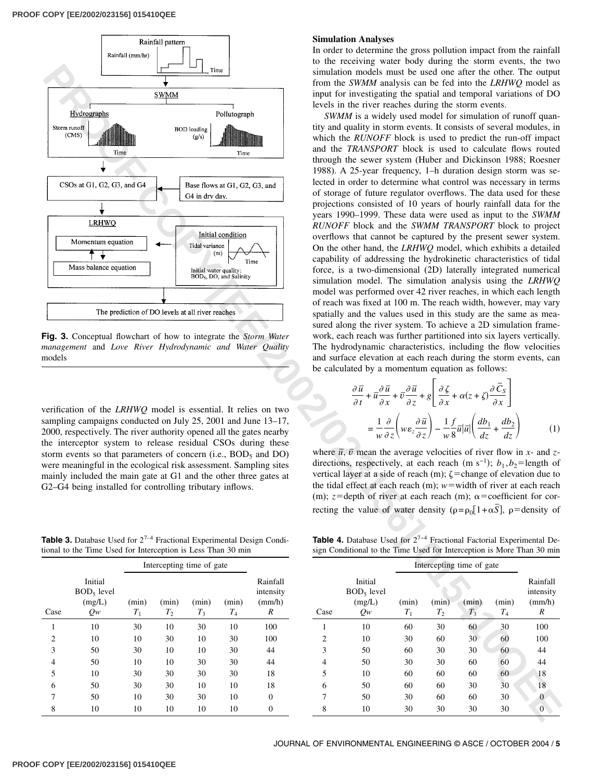

**Fig. 3.** Conceptual flowchart of how to integrate the *Storm Water management* and *Love River Hydrodynamic and Water Quality* models

verification of the *LRHWQ* model is essential. It relies on two sampling campaigns conducted on July 25, 2001 and June 13–17, 2000, respectively. The river authority opened all the gates nearby the interceptor system to release residual CSOs during these storm events so that parameters of concern (i.e.,  $BOD<sub>5</sub>$  and DO) were meaningful in the ecological risk assessment. Sampling sites mainly included the main gate at G1 and the other three gates at G2–G4 being installed for controlling tributary inflows.

**Table 3.** Database Used for  $2^{7-4}$  Fractional Experimental Design Conditional to the Time Used for Interception is Less Than 30 min

#### **Simulation Analyses**

In order to determine the gross pollution impact from the rainfall to the receiving water body during the storm events, the two simulation models must be used one after the other. The output from the *SWMM* analysis can be fed into the *LRHWQ* model as input for investigating the spatial and temporal variations of DO levels in the river reaches during the storm events.

*SWMM* is a widely used model for simulation of runoff quantity and quality in storm events. It consists of several modules, in which the *RUNOFF* block is used to predict the run-off impact and the *TRANSPORT* block is used to calculate flows routed through the sewer system (Huber and Dickinson 1988; Roesner 1988). A 25-year frequency, 1–h duration design storm was selected in order to determine what control was necessary in terms of storage of future regulator overflows. The data used for these projections consisted of 10 years of hourly rainfall data for the years 1990–1999. These data were used as input to the *SWMM RUNOFF* block and the *SWMM TRANSPORT* block to project overflows that cannot be captured by the present sewer system. On the other hand, the *LRHWQ* model, which exhibits a detailed capability of addressing the hydrokinetic characteristics of tidal force, is a two-dimensional (2D) laterally integrated numerical simulation model. The simulation analysis using the *LRHWQ* model was performed over 42 river reaches, in which each length of reach was fixed at 100 m. The reach width, however, may vary spatially and the values used in this study are the same as measured along the river system. To achieve a 2D simulation framework, each reach was further partitioned into six layers vertically. The hydrodynamic characteristics, including the flow velocities and surface elevation at each reach during the storm events, can be calculated by a momentum equation as follows:

$$
\frac{\partial \overline{u}}{\partial t} + \overline{u} \frac{\partial \overline{u}}{\partial x} + \overline{v} \frac{\partial \overline{u}}{\partial z} + g \left[ \frac{\partial \zeta}{\partial x} + \alpha (z + \zeta) \frac{\partial \overline{C}_{S}}{\partial x} \right]
$$

$$
= \frac{1}{w} \frac{\partial}{\partial z} \left( w \varepsilon_{z} \frac{\partial \overline{u}}{\partial z} \right) - \frac{1}{w} \frac{f}{8} \overline{u} |\overline{u}| \left( \frac{db_{1}}{dz} + \frac{db_{2}}{dz} \right) \tag{1}
$$

where  $\bar{u}$ ,  $\bar{v}$  mean the average velocities of river flow in *x*- and *z*directions, respectively, at each reach  $(m s^{-1})$ ;  $b_1, b_2$ =length of vertical layer at a side of reach  $(m)$ ;  $\zeta$ =change of elevation due to the tidal effect at each reach (m);  $w$ =width of river at each reach (m);  $z =$  depth of river at each reach (m);  $\alpha =$  coefficient for correcting the value of water density ( $\rho = \rho_0[1+\alpha \bar{S}]$ ,  $\rho =$ density of

**Table 4.** Database Used for 27−4 Fractional Factorial Experimental Design Conditional to the Time Used for Interception is More Than 30 min

Initial  $BOD<sub>5</sub>$  level  $(mg/I)$ 

Intercepting time of gate

Rainfall intensity  $(mm/h)$ 

|      |                                            |                  |                         | Intercepting time of gate |                  |                                      |
|------|--------------------------------------------|------------------|-------------------------|---------------------------|------------------|--------------------------------------|
| Case | Initial<br>$BOD5$ level<br>(mg/L)<br>$Q_W$ | (min)<br>$T_{1}$ | (min)<br>T <sub>2</sub> | (min)<br>$T_3$            | (min)<br>$T_{4}$ | Rainfall<br>intensity<br>(mm/h)<br>R |
| 1    | 10                                         | 30               | 10                      | 30                        | 10               | 100                                  |
| 2    | 10                                         | 10               | 30                      | 10                        | 30               | 100                                  |
| 3    | 50                                         | 30               | 10                      | 10                        | 30               | 44                                   |
| 4    | 50                                         | 10               | 10                      | 30                        | 30               | 44                                   |
| 5    | 10                                         | 30               | 30                      | 30                        | 30               | 18                                   |
| 6    | 50                                         | 30               | 30                      | 10                        | 10               | 18                                   |
| 7    | 50                                         | 10               | 30                      | 30                        | 10               | 0                                    |
| 8    | 10                                         | 10               | 10                      | 10                        | 10               | 0                                    |

| Case | (mg/L)<br>Qw | (min)<br>$T_1$ | (min)<br>$T_2$ | (min)<br>$T_3$ | (min)<br>$T_{4}$ | (mm/h)<br>R    |
|------|--------------|----------------|----------------|----------------|------------------|----------------|
| 1    | 10           | 60             | 30             | 60             | 30               | 100            |
| 2    | 10           | 30             | 60             | 30             | 60               | 100            |
| 3    | 50           | 60             | 30             | 30             | 60               | 44             |
| 4    | 50           | 30             | 30             | 60             | 60               | 44             |
| 5    | 10           | 60             | 60             | 60             | 60               | 18             |
| 6    | 50           | 60             | 60             | 30             | 30               | 18             |
| 7    | 50           | 30             | 60             | 60             | 30               | 0              |
| 8    | 10           | 30             | 30             | 30             | 30               | $\overline{0}$ |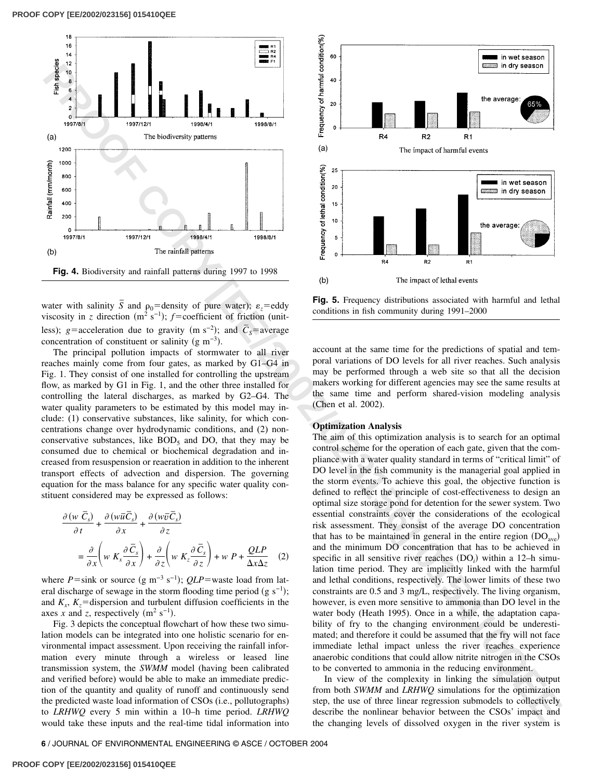

water with salinity  $\overline{S}$  and  $\rho_0$ =density of pure water);  $\varepsilon_z$ =eddy viscosity in *z* direction  $(m^2 s^{-1})$ ; *f*=coefficient of friction (unitless); *g*=acceleration due to gravity (m s<sup>−2</sup>); and  $\overline{C_S}$ =average concentration of constituent or salinity  $(g m<sup>-3</sup>)$ .

The principal pollution impacts of stormwater to all river reaches mainly come from four gates, as marked by G1–G4 in Fig. 1. They consist of one installed for controlling the upstream flow, as marked by G1 in Fig. 1, and the other three installed for controlling the lateral discharges, as marked by G2–G4. The water quality parameters to be estimated by this model may include: (1) conservative substances, like salinity, for which concentrations change over hydrodynamic conditions, and (2) nonconservative substances, like  $BOD<sub>5</sub>$  and DO, that they may be consumed due to chemical or biochemical degradation and increased from resuspension or reaeration in addition to the inherent transport effects of advection and dispersion. The governing equation for the mass balance for any specific water quality constituent considered may be expressed as follows:

$$
\frac{\partial (w \overline{C}_s)}{\partial t} + \frac{\partial (w \overline{u} \overline{C}_s)}{\partial x} + \frac{\partial (w \overline{v} \overline{C}_s)}{\partial z} \n= \frac{\partial}{\partial x} \left( w K_x \frac{\partial \overline{C}_s}{\partial x} \right) + \frac{\partial}{\partial z} \left( w K_z \frac{\partial \overline{C}_s}{\partial z} \right) + w P + \frac{QLP}{\Delta x \Delta z} (2)
$$

where *P*=sink or source (g m<sup>-3</sup> s<sup>-1</sup>); *QLP*=waste load from lateral discharge of sewage in the storm flooding time period  $(g s^{-1})$ ; and  $K_x$ ,  $K_z$ =dispersion and turbulent diffusion coefficients in the axes *x* and *z*, respectively  $(m^2 s^{-1})$ .

Fig. 3 depicts the conceptual flowchart of how these two simulation models can be integrated into one holistic scenario for environmental impact assessment. Upon receiving the rainfall information every minute through a wireless or leased line transmission system, the *SWMM* model (having been calibrated and verified before) would be able to make an immediate prediction of the quantity and quality of runoff and continuously send the predicted waste load information of CSOs (i.e., pollutographs) to *LRHWQ* every 5 min within a 10–h time period. *LRHWQ* would take these inputs and the real-time tidal information into



**Fig. 5.** Frequency distributions associated with harmful and lethal conditions in fish community during 1991–2000

account at the same time for the predictions of spatial and temporal variations of DO levels for all river reaches. Such analysis may be performed through a web site so that all the decision makers working for different agencies may see the same results at the same time and perform shared-vision modeling analysis (Chen et al. 2002).

## **Optimization Analysis**

The aim of this optimization analysis is to search for an optimal control scheme for the operation of each gate, given that the compliance with a water quality standard in terms of "critical limit" of DO level in the fish community is the managerial goal applied in the storm events. To achieve this goal, the objective function is defined to reflect the principle of cost-effectiveness to design an optimal size storage pond for detention for the sewer system. Two essential constraints cover the considerations of the ecological risk assessment. They consist of the average DO concentration that has to be maintained in general in the entire region  $(DO<sub>ave</sub>)$ and the minimum DO concentration that has to be achieved in specific in all sensitive river reaches  $(DO<sub>i</sub>)$  within a 12-h simulation time period. They are implicitly linked with the harmful and lethal conditions, respectively. The lower limits of these two constraints are 0.5 and 3 mg/L, respectively. The living organism, however, is even more sensitive to ammonia than DO level in the water body (Heath 1995). Once in a while, the adaptation capability of fry to the changing environment could be underestimated; and therefore it could be assumed that the fry will not face immediate lethal impact unless the river reaches experience anaerobic conditions that could allow nitrite nitrogen in the CSOs to be converted to ammonia in the reducing environment.

In view of the complexity in linking the simulation output from both *SWMM* and *LRHWQ* simulations for the optimization step, the use of three linear regression submodels to collectively describe the nonlinear behavior between the CSOs' impact and the changing levels of dissolved oxygen in the river system is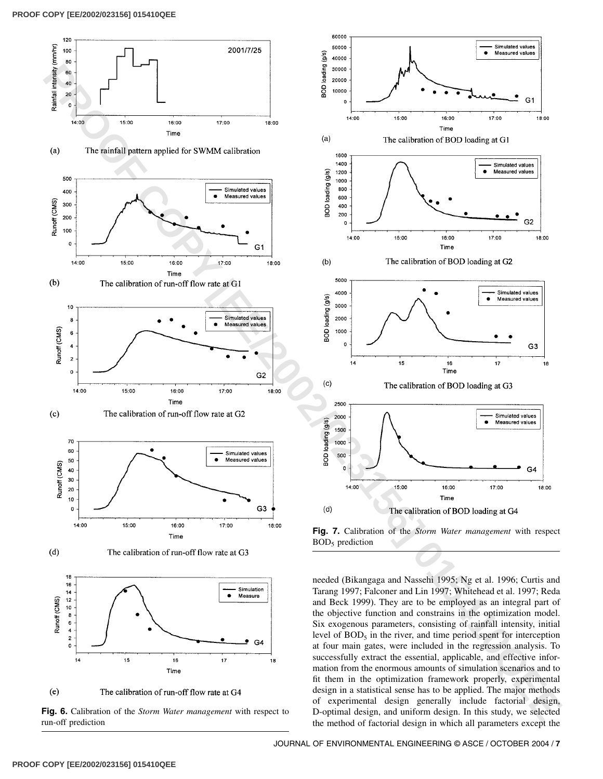

**Fig. 6.** Calibration of the *Storm Water management* with respect to run-off prediction



**Fig. 7.** Calibration of the *Storm Water management* with respect  $BOD<sub>5</sub>$  prediction

needed (Bikangaga and Nassehi 1995; Ng et al. 1996; Curtis and Tarang 1997; Falconer and Lin 1997; Whitehead et al. 1997; Reda and Beck 1999). They are to be employed as an integral part of the objective function and constrains in the optimization model. Six exogenous parameters, consisting of rainfall intensity, initial level of  $BOD<sub>5</sub>$  in the river, and time period spent for interception at four main gates, were included in the regression analysis. To successfully extract the essential, applicable, and effective information from the enormous amounts of simulation scenarios and to fit them in the optimization framework properly, experimental design in a statistical sense has to be applied. The major methods of experimental design generally include factorial design, D-optimal design, and uniform design. In this study, we selected the method of factorial design in which all parameters except the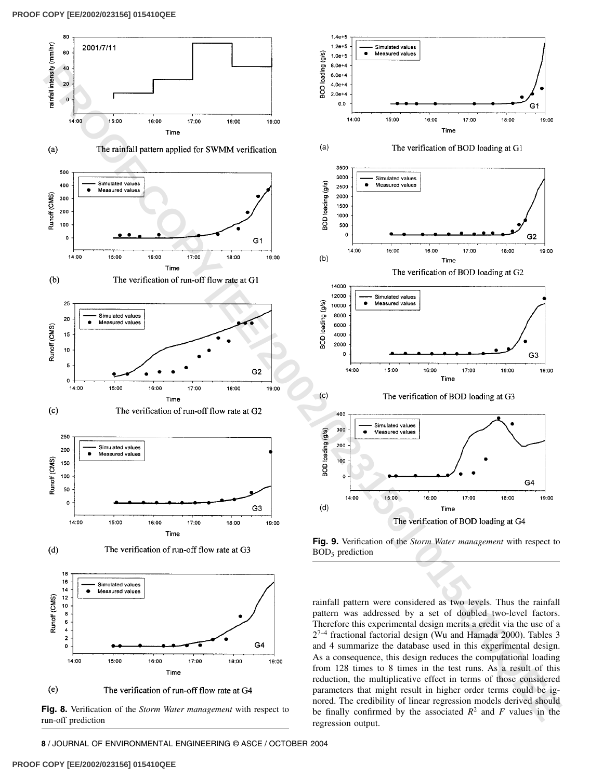

be finally confirmed by the associated  $R^2$  and *F* values in the

regression output.

**Fig. 8.** Verification of the *Storm Water management* with respect to run-off prediction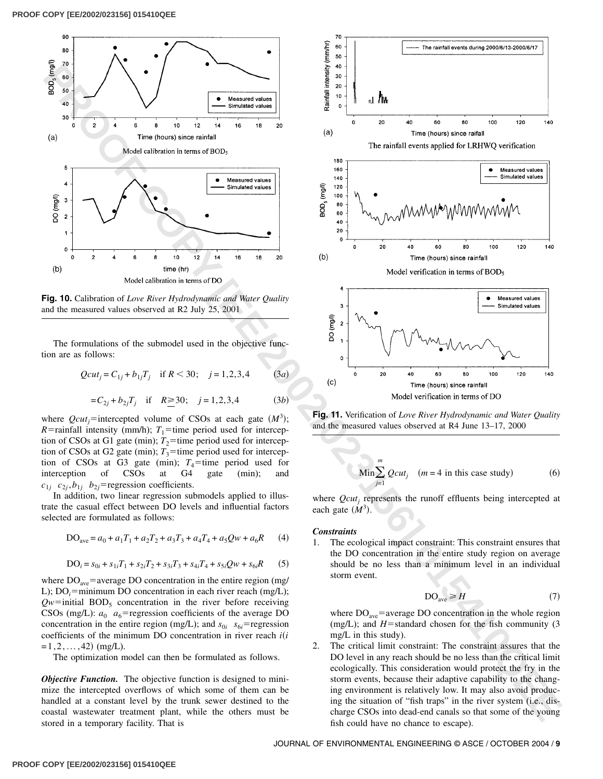

**Fig. 10.** Calibration of *Love River Hydrodynamic and Water Quality* and the measured values observed at R2 July 25, 2001

The formulations of the submodel used in the objective function are as follows:

$$
Qcut_j = C_{1j} + b_{1j}T_j \quad \text{if } R < 30; \quad j = 1, 2, 3, 4 \tag{3a}
$$

$$
=C_{2j} + b_{2j}T_j
$$
 if  $R \ge 30$ ;  $j = 1, 2, 3, 4$  (3b)

where  $Qcut_j$ =intercepted volume of CSOs at each gate  $(M^3)$ ; *R*=rainfall intensity (mm/h);  $T_1$ =time period used for interception of CSOs at G1 gate (min);  $T_2$ =time period used for interception of CSOs at G2 gate (min);  $T_3$ =time period used for interception of CSOs at G3 gate (min);  $T_4$ =time period used for interception of CSOs at G4 gate (min); and interception of CSOs at G4 gate (min); and  $c_{1j}$   $c_{2j}$ ,  $b_{1j}$   $b_{2j}$ =regression coefficients.

In addition, two linear regression submodels applied to illustrate the casual effect between DO levels and influential factors selected are formulated as follows:

$$
DOave = a0 + a1T1 + a2T2 + a3T3 + a4T4 + a5Qw + a6R
$$
 (4)

$$
DOi = s0i + s1iT1 + s2iT2 + s3iT3 + s4iT4 + s5iQw + s6iR
$$
 (5)

where  $DO<sub>ave</sub>$ =average DO concentration in the entire region (mg/ L); DO<sub>i</sub>=minimum DO concentration in each river reach (mg/L);  $Q_w$ =initial BOD<sub>5</sub> concentration in the river before receiving CSOs (mg/L):  $a_0 \ a_6$ = regression coefficients of the average DO concentration in the entire region (mg/L); and  $s_{0i}$   $s_{6i}$ = regression coefficients of the minimum DO concentration in river reach *ii*  $= 1, 2, \ldots, 42$  (mg/L).

The optimization model can then be formulated as follows.

*Objective Function.* The objective function is designed to minimize the intercepted overflows of which some of them can be handled at a constant level by the trunk sewer destined to the coastal wastewater treatment plant, while the others must be stored in a temporary facility. That is



**Fig. 11.** Verification of *Love River Hydrodynamic and Water Quality* and the measured values observed at R4 June 13–17, 2000

$$
\lim_{j=1}^{m} Qcut_j \quad (m = 4 \text{ in this case study}) \tag{6}
$$

where *Qcut<sub>i</sub>* represents the runoff effluents being intercepted at each gate  $(M^3)$ .

#### *Constraints*

1. The ecological impact constraint: This constraint ensures that the DO concentration in the entire study region on average should be no less than a minimum level in an individual storm event.

$$
DO_{ave} \geq H \tag{7}
$$

where  $DO<sub>ave</sub>$  = average DO concentration in the whole region (mg/L); and  $H$ =standard chosen for the fish community (3) mg/L in this study).

2. The critical limit constraint: The constraint assures that the DO level in any reach should be no less than the critical limit ecologically. This consideration would protect the fry in the storm events, because their adaptive capability to the changing environment is relatively low. It may also avoid producing the situation of "fish traps" in the river system (i.e., discharge CSOs into dead-end canals so that some of the young fish could have no chance to escape).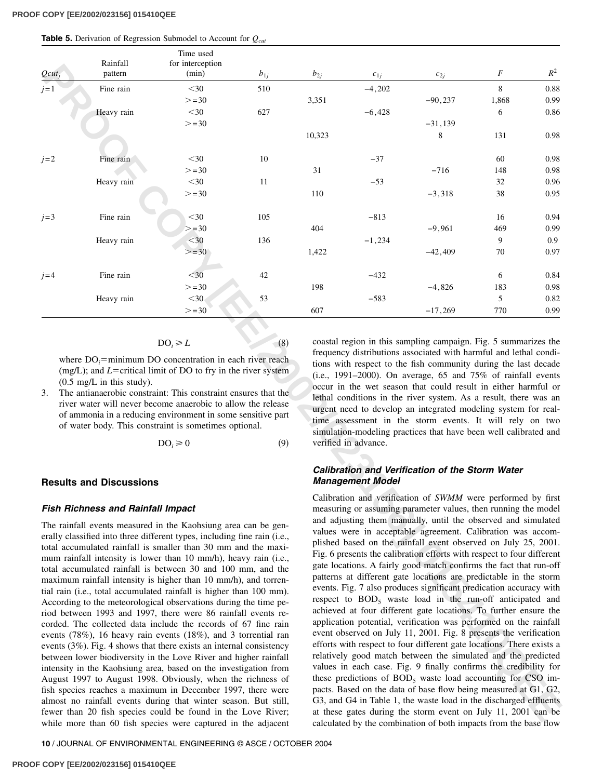| Table 5. Derivation of Regression Submodel to Account for $Q_{cut}$ |  |
|---------------------------------------------------------------------|--|
|---------------------------------------------------------------------|--|

|          |                                                                                                                                                                                                                                                                                                                                                                                                                                                                                                                                                                | Time used                 |          |                                                                    |                         |                                                                                                                                                                                                                                                                                                                                                                                                                     |          |                |
|----------|----------------------------------------------------------------------------------------------------------------------------------------------------------------------------------------------------------------------------------------------------------------------------------------------------------------------------------------------------------------------------------------------------------------------------------------------------------------------------------------------------------------------------------------------------------------|---------------------------|----------|--------------------------------------------------------------------|-------------------------|---------------------------------------------------------------------------------------------------------------------------------------------------------------------------------------------------------------------------------------------------------------------------------------------------------------------------------------------------------------------------------------------------------------------|----------|----------------|
| $Qcut_i$ | Rainfall<br>pattern                                                                                                                                                                                                                                                                                                                                                                                                                                                                                                                                            | for interception<br>(min) | $b_{1j}$ | $b_{2j}$                                                           | $c_{1j}$                | $c_{2j}$                                                                                                                                                                                                                                                                                                                                                                                                            | $\cal F$ | $\mathbb{R}^2$ |
| $j=1$    | Fine rain                                                                                                                                                                                                                                                                                                                                                                                                                                                                                                                                                      | $<$ 30                    | 510      |                                                                    | $-4,202$                |                                                                                                                                                                                                                                                                                                                                                                                                                     | 8        | 0.88           |
|          |                                                                                                                                                                                                                                                                                                                                                                                                                                                                                                                                                                | $>=$ 30                   |          | 3,351                                                              |                         | $-90,237$                                                                                                                                                                                                                                                                                                                                                                                                           | 1,868    | 0.99           |
|          | Heavy rain                                                                                                                                                                                                                                                                                                                                                                                                                                                                                                                                                     | $<$ 30                    | 627      |                                                                    | $-6,428$                |                                                                                                                                                                                                                                                                                                                                                                                                                     | 6        | 0.86           |
|          |                                                                                                                                                                                                                                                                                                                                                                                                                                                                                                                                                                | $>=$ 30                   |          |                                                                    |                         | $-31,139$                                                                                                                                                                                                                                                                                                                                                                                                           |          |                |
|          |                                                                                                                                                                                                                                                                                                                                                                                                                                                                                                                                                                |                           |          | 10,323                                                             |                         | 8                                                                                                                                                                                                                                                                                                                                                                                                                   | 131      | 0.98           |
|          |                                                                                                                                                                                                                                                                                                                                                                                                                                                                                                                                                                |                           |          |                                                                    |                         |                                                                                                                                                                                                                                                                                                                                                                                                                     |          |                |
| $j=2$    | Fine rain                                                                                                                                                                                                                                                                                                                                                                                                                                                                                                                                                      | $<$ 30                    | 10       |                                                                    | $-37$                   |                                                                                                                                                                                                                                                                                                                                                                                                                     | 60       | 0.98           |
|          |                                                                                                                                                                                                                                                                                                                                                                                                                                                                                                                                                                | $>=30$                    |          | 31                                                                 |                         | $-716$                                                                                                                                                                                                                                                                                                                                                                                                              | 148      | 0.98           |
|          | Heavy rain                                                                                                                                                                                                                                                                                                                                                                                                                                                                                                                                                     | $<$ 30<br>$>=$ 30         | 11       | 110                                                                | $-53$                   | $-3,318$                                                                                                                                                                                                                                                                                                                                                                                                            | 32<br>38 | 0.96<br>0.95   |
|          |                                                                                                                                                                                                                                                                                                                                                                                                                                                                                                                                                                |                           |          |                                                                    |                         |                                                                                                                                                                                                                                                                                                                                                                                                                     |          |                |
| $j=3$    | Fine rain                                                                                                                                                                                                                                                                                                                                                                                                                                                                                                                                                      | $<$ 30                    | 105      |                                                                    | $-813$                  |                                                                                                                                                                                                                                                                                                                                                                                                                     | 16       | 0.94           |
|          |                                                                                                                                                                                                                                                                                                                                                                                                                                                                                                                                                                | $>=$ 30                   |          | 404                                                                |                         | $-9,961$                                                                                                                                                                                                                                                                                                                                                                                                            | 469      | 0.99           |
|          | Heavy rain                                                                                                                                                                                                                                                                                                                                                                                                                                                                                                                                                     | $<$ 30 $\,$               | 136      |                                                                    | $-1,234$                |                                                                                                                                                                                                                                                                                                                                                                                                                     | 9        | 0.9            |
|          |                                                                                                                                                                                                                                                                                                                                                                                                                                                                                                                                                                | $>=30$                    |          | 1,422                                                              |                         | $-42,409$                                                                                                                                                                                                                                                                                                                                                                                                           | 70       | 0.97           |
| $j=4$    | Fine rain                                                                                                                                                                                                                                                                                                                                                                                                                                                                                                                                                      | $30$                      | 42       |                                                                    | $-432$                  |                                                                                                                                                                                                                                                                                                                                                                                                                     | 6        | 0.84           |
|          |                                                                                                                                                                                                                                                                                                                                                                                                                                                                                                                                                                | $>=$ 30                   |          | 198                                                                |                         | $-4,826$                                                                                                                                                                                                                                                                                                                                                                                                            | 183      | $0.98\,$       |
|          | Heavy rain                                                                                                                                                                                                                                                                                                                                                                                                                                                                                                                                                     | $<$ 30                    | 53       |                                                                    | $-583$                  |                                                                                                                                                                                                                                                                                                                                                                                                                     | 5        | 0.82           |
|          |                                                                                                                                                                                                                                                                                                                                                                                                                                                                                                                                                                | $>=$ 30                   |          | 607                                                                |                         | $-17,269$                                                                                                                                                                                                                                                                                                                                                                                                           | 770      | 0.99           |
|          |                                                                                                                                                                                                                                                                                                                                                                                                                                                                                                                                                                |                           |          |                                                                    |                         |                                                                                                                                                                                                                                                                                                                                                                                                                     |          |                |
|          | river water will never become anaerobic to allow the release<br>of ammonia in a reducing environment in some sensitive part<br>of water body. This constraint is sometimes optional.                                                                                                                                                                                                                                                                                                                                                                           | $DOi \ge 0$               | (9)      |                                                                    | verified in advance.    | urgent need to develop an integrated modeling system for real-<br>time assessment in the storm events. It will rely on two<br>simulation-modeling practices that have been well calibrated and                                                                                                                                                                                                                      |          |                |
|          | <b>Results and Discussions</b>                                                                                                                                                                                                                                                                                                                                                                                                                                                                                                                                 |                           |          |                                                                    | <b>Management Model</b> | <b>Calibration and Verification of the Storm Water</b>                                                                                                                                                                                                                                                                                                                                                              |          |                |
|          |                                                                                                                                                                                                                                                                                                                                                                                                                                                                                                                                                                |                           |          |                                                                    |                         | Calibration and verification of SWMM were performed by first                                                                                                                                                                                                                                                                                                                                                        |          |                |
|          | <b>Fish Richness and Rainfall Impact</b>                                                                                                                                                                                                                                                                                                                                                                                                                                                                                                                       |                           |          |                                                                    |                         | measuring or assuming parameter values, then running the model                                                                                                                                                                                                                                                                                                                                                      |          |                |
|          | The rainfall events measured in the Kaohsiung area can be gen-<br>erally classified into three different types, including fine rain (i.e.,<br>total accumulated rainfall is smaller than 30 mm and the maxi-<br>mum rainfall intensity is lower than 10 mm/h), heavy rain (i.e.,<br>total accumulated rainfall is between 30 and 100 mm, and the<br>maximum rainfall intensity is higher than 10 mm/h), and torren-<br>tial rain (i.e., total accumulated rainfall is higher than 100 mm).<br>According to the meteorological observations during the time pe- |                           |          | events. Fig. 7 also produces significant predication accuracy with |                         | and adjusting them manually, until the observed and simulated<br>values were in acceptable agreement. Calibration was accom-<br>plished based on the rainfall event observed on July 25, 2001.<br>Fig. 6 presents the calibration efforts with respect to four different<br>gate locations. A fairly good match confirms the fact that run-off<br>patterns at different gate locations are predictable in the storm |          |                |

$$
DOi \ge L
$$
 (8)

$$
DOi \ge 0
$$
 (9)

## **Results and Discussions**

## *Fish Richness and Rainfall Impact*

## *Calibration and Verification of the Storm Water Management Model*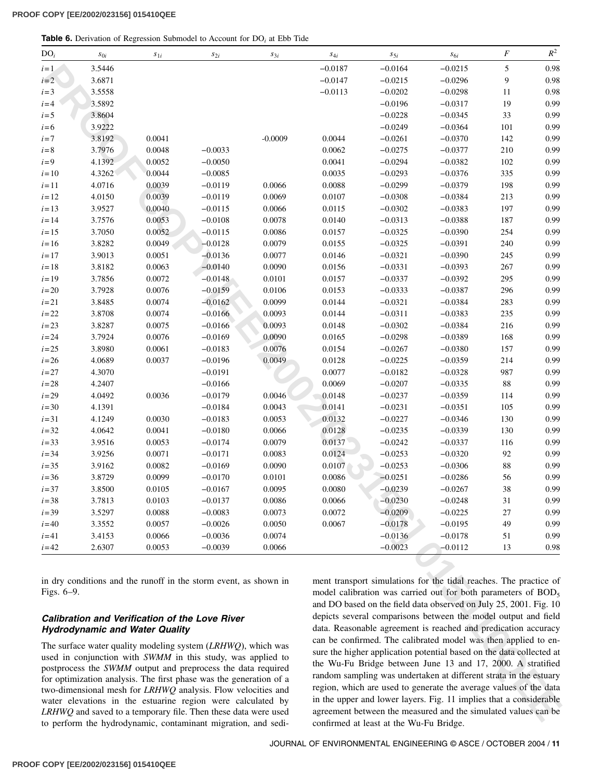**Table 6.** Derivation of Regression Submodel to Account for DO*<sup>i</sup>* at Ebb Tide

| DO <sub>i</sub> | $s_{0i}$ | $s_{1i}$                              | $\sqrt{s_{2i}}$                                                                                                                 | $s_{3i}$  | $s_{4i}$  | $s_{5i}$                                                                  | $s_{6i}$  | F      | $R^2$ |
|-----------------|----------|---------------------------------------|---------------------------------------------------------------------------------------------------------------------------------|-----------|-----------|---------------------------------------------------------------------------|-----------|--------|-------|
| $i=1$           | 3.5446   |                                       |                                                                                                                                 |           | $-0.0187$ | $-0.0164$                                                                 | $-0.0215$ | 5      | 0.98  |
| $i=2$           | 3.6871   |                                       |                                                                                                                                 |           | $-0.0147$ | $-0.0215$                                                                 | $-0.0296$ | 9      | 0.98  |
| $i=3$           | 3.5558   |                                       |                                                                                                                                 |           | $-0.0113$ | $-0.0202$                                                                 | $-0.0298$ | 11     | 0.98  |
| $i = 4$         | 3.5892   |                                       |                                                                                                                                 |           |           | $-0.0196$                                                                 | $-0.0317$ | 19     | 0.99  |
| $i=5$           | 3.8604   |                                       |                                                                                                                                 |           |           | $-0.0228$                                                                 | $-0.0345$ | 33     | 0.99  |
| $i=6$           | 3.9222   |                                       |                                                                                                                                 |           |           | $-0.0249$                                                                 | $-0.0364$ | 101    | 0.99  |
| $i=7$           | 3.8192   | 0.0041                                |                                                                                                                                 | $-0.0009$ | 0.0044    | $-0.0261$                                                                 | $-0.0370$ | 142    | 0.99  |
| $i=8$           | 3.7976   | 0.0048                                | $-0.0033$                                                                                                                       |           | 0.0062    | $-0.0275$                                                                 | $-0.0377$ | 210    | 0.99  |
| $i=9$           | 4.1392   | 0.0052                                | $-0.0050$                                                                                                                       |           | 0.0041    | $-0.0294$                                                                 | $-0.0382$ | 102    | 0.99  |
| $i=10$          | 4.3262   | 0.0044                                | $-0.0085$                                                                                                                       |           | 0.0035    | $-0.0293$                                                                 | $-0.0376$ | 335    | 0.99  |
| $i=11$          | 4.0716   | 0.0039                                | $-0.0119$                                                                                                                       | 0.0066    | 0.0088    | $-0.0299$                                                                 | $-0.0379$ | 198    | 0.99  |
| $i=12$          | 4.0150   | 0.0039                                | $-0.0119$                                                                                                                       | 0.0069    | 0.0107    | $-0.0308$                                                                 | $-0.0384$ | 213    | 0.99  |
| $i = 13$        | 3.9527   | 0.0040                                | $-0.0115$                                                                                                                       | 0.0066    | 0.0115    | $-0.0302$                                                                 | $-0.0383$ | 197    | 0.99  |
| $i=14$          | 3.7576   | 0.0053                                | $-0.0108$                                                                                                                       | 0.0078    | 0.0140    | $-0.0313$                                                                 | $-0.0388$ | 187    | 0.99  |
| $i = 15$        | 3.7050   | 0.0052                                | $-0.0115$                                                                                                                       | 0.0086    | 0.0157    | $-0.0325$                                                                 | $-0.0390$ | 254    | 0.99  |
| $i = 16$        | 3.8282   | 0.0049                                | $-0.0128$                                                                                                                       | 0.0079    | 0.0155    | $-0.0325$                                                                 | $-0.0391$ | 240    | 0.99  |
| $i = 17$        | 3.9013   | 0.0051                                | $-0.0136$                                                                                                                       | 0.0077    | 0.0146    | $-0.0321$                                                                 | $-0.0390$ | 245    | 0.99  |
| $i = 18$        | 3.8182   | 0.0063                                | $-0.0140$                                                                                                                       | 0.0090    | 0.0156    | $-0.0331$                                                                 | $-0.0393$ | 267    | 0.99  |
| $i=19$          | 3.7856   | 0.0072                                | $-0.0148$                                                                                                                       | 0.0101    | 0.0157    | $-0.0337$                                                                 | $-0.0392$ | 295    | 0.99  |
| $i = 20$        | 3.7928   | 0.0076                                | $-0.0159$                                                                                                                       | 0.0106    | 0.0153    | $-0.0333$                                                                 | $-0.0387$ | 296    | 0.99  |
| $i = 21$        | 3.8485   | 0.0074                                | $-0.0162$                                                                                                                       | 0.0099    | 0.0144    | $-0.0321$                                                                 | $-0.0384$ | 283    | 0.99  |
| $i = 22$        | 3.8708   | 0.0074                                | $-0.0166$                                                                                                                       | 0.0093    | 0.0144    | $-0.0311$                                                                 | $-0.0383$ | 235    | 0.99  |
| $i = 23$        | 3.8287   | 0.0075                                | $-0.0166$                                                                                                                       | 0.0093    | 0.0148    | $-0.0302$                                                                 | $-0.0384$ | 216    | 0.99  |
| $i = 24$        | 3.7924   | 0.0076                                | $-0.0169$                                                                                                                       | 0.0090    | 0.0165    | $-0.0298$                                                                 | $-0.0389$ | 168    | 0.99  |
| $i = 25$        | 3.8980   | 0.0061                                | $-0.0183$                                                                                                                       | 0.0076    | 0.0154    | $-0.0267$                                                                 | $-0.0380$ | 157    | 0.99  |
| $i = 26$        | 4.0689   | 0.0037                                | $-0.0196$                                                                                                                       | 0.0049    | 0.0128    | $-0.0225$                                                                 | $-0.0359$ | 214    | 0.99  |
| $i = 27$        | 4.3070   |                                       | $-0.0191$                                                                                                                       |           | 0.0077    | $-0.0182$                                                                 | $-0.0328$ | 987    | 0.99  |
| $i=28$          | 4.2407   |                                       | $-0.0166$                                                                                                                       |           | 0.0069    | $-0.0207$                                                                 | $-0.0335$ | 88     | 0.99  |
| $i=29$          | 4.0492   | 0.0036                                | $-0.0179$                                                                                                                       | 0.0046    | 0.0148    | $-0.0237$                                                                 | $-0.0359$ | 114    | 0.99  |
| $i = 30$        | 4.1391   |                                       | $-0.0184$                                                                                                                       | 0.0043    | 0.0141    | $-0.0231$                                                                 | $-0.0351$ | 105    | 0.99  |
| $i = 31$        | 4.1249   | 0.0030                                | $-0.0183$                                                                                                                       | 0.0053    | 0.0132    | $-0.0227$                                                                 | $-0.0346$ | 130    | 0.99  |
| $i = 32$        | 4.0642   | 0.0041                                | $-0.0180$                                                                                                                       | 0.0066    | 0.0128    | $-0.0235$                                                                 | $-0.0339$ | 130    | 0.99  |
| $i = 33$        | 3.9516   | 0.0053                                | $-0.0174$                                                                                                                       | 0.0079    | 0.0137    | $-0.0242$                                                                 | $-0.0337$ | 116    | 0.99  |
| $i = 34$        | 3.9256   | 0.0071                                | $-0.0171$                                                                                                                       | 0.0083    | 0.0124    | $-0.0253$                                                                 | $-0.0320$ | 92     | 0.99  |
| $i = 35$        | 3.9162   | 0.0082                                | $-0.0169$                                                                                                                       | 0.0090    | 0.0107    | $-0.0253$                                                                 | $-0.0306$ | 88     | 0.99  |
| $i = 36$        | 3.8729   | 0.0099                                | $-0.0170$                                                                                                                       | 0.0101    | 0.0086    | $-0.0251$                                                                 | $-0.0286$ | 56     | 0.99  |
| $i = 37$        | 3.8500   | 0.0105                                | $-0.0167$                                                                                                                       | 0.0095    | 0.0080    | $-0.0239$                                                                 | $-0.0267$ | 38     | 0.99  |
| $i = 38$        | 3.7813   | 0.0103                                | $-0.0137$                                                                                                                       | 0.0086    | 0.0066    | $-0.0230$                                                                 | $-0.0248$ | 31     | 0.99  |
| $i = 39$        | 3.5297   | 0.0088                                | $-0.0083$                                                                                                                       | 0.0073    | 0.0072    | $-0.0209$                                                                 | $-0.0225$ | $27\,$ | 0.99  |
| $i=40$          | 3.3552   | 0.0057                                | $-0.0026$                                                                                                                       | 0.0050    | 0.0067    | $-0.0178$                                                                 | $-0.0195$ | 49     | 0.99  |
| $i = 41$        | 3.4153   | 0.0066                                | $-0.0036$                                                                                                                       | 0.0074    |           | $-0.0136$                                                                 | $-0.0178$ | 51     | 0.99  |
| $i = 42$        | 2.6307   | 0.0053                                | $-0.0039$                                                                                                                       | 0.0066    |           | $-0.0023$                                                                 | $-0.0112$ | 13     | 0.98  |
|                 |          |                                       |                                                                                                                                 |           |           |                                                                           |           |        |       |
|                 |          |                                       | in dry conditions and the runoff in the storm event, as shown in                                                                |           |           | ment transport simulations for the tidal reaches. The practice of         |           |        |       |
| Figs. $6-9$ .   |          |                                       |                                                                                                                                 |           |           | model calibration was carried out for both parameters of BOD <sub>5</sub> |           |        |       |
|                 |          |                                       |                                                                                                                                 |           |           | and DO based on the field data observed on July 25, 2001. Fig. 10         |           |        |       |
|                 |          |                                       | <b>Calibration and Verification of the Love River</b>                                                                           |           |           | depicts several comparisons between the model output and field            |           |        |       |
|                 |          | <b>Hydrodynamic and Water Quality</b> |                                                                                                                                 |           |           | data. Reasonable agreement is reached and predication accuracy            |           |        |       |
|                 |          |                                       |                                                                                                                                 |           |           | can be confirmed. The calibrated model was then applied to en-            |           |        |       |
|                 |          |                                       | The surface water quality modeling system (LRHWQ), which was                                                                    |           |           | sure the higher application potential based on the data collected at      |           |        |       |
|                 |          |                                       | used in conjunction with SWMM in this study, was applied to                                                                     |           |           | the Wu-Fu Bridge between June 13 and 17, 2000. A stratified               |           |        |       |
|                 |          |                                       | postprocess the SWMM output and preprocess the data required                                                                    |           |           | random sampling was undertaken at different strata in the estuary         |           |        |       |
|                 |          |                                       | for optimization analysis. The first phase was the generation of a                                                              |           |           | region, which are used to generate the average values of the data         |           |        |       |
|                 |          |                                       | two-dimensional mesh for LRHWQ analysis. Flow velocities and                                                                    |           |           | in the upper and lower layers. Fig. 11 implies that a considerable        |           |        |       |
|                 |          |                                       | water elevations in the estuarine region were calculated by                                                                     |           |           | agreement between the measured and the simulated values can be            |           |        |       |
|                 |          |                                       | LRHWQ and saved to a temporary file. Then these data were used<br>to perform the hydrodynamic, contaminant migration, and sedi- |           |           | confirmed at least at the Wu-Fu Bridge.                                   |           |        |       |
|                 |          |                                       |                                                                                                                                 |           |           |                                                                           |           |        |       |

# *Calibration and Verification of the Love River Hydrodynamic and Water Quality*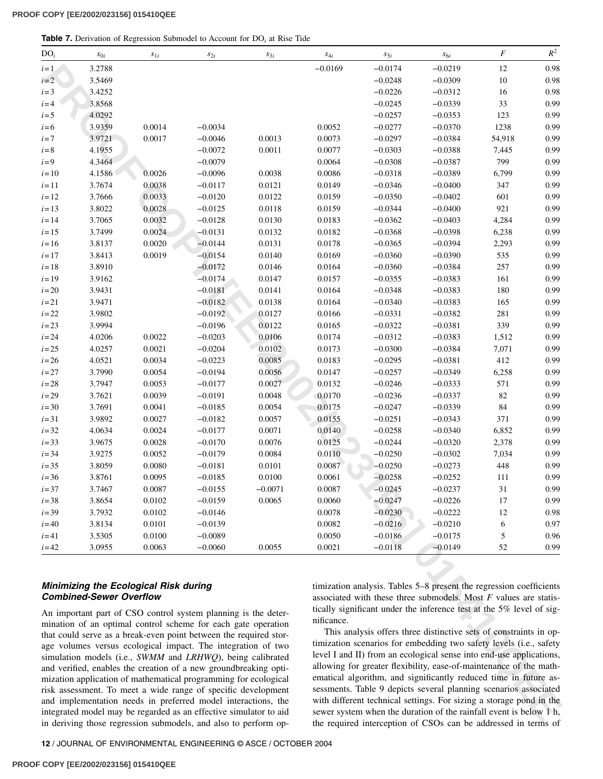**Table 7.** Derivation of Regression Submodel to Account for DO<sub>i</sub> at Rise Tide

| DO <sub>i</sub>    | $s_{0i}$                       | $s_{1i}$                                     | $s_{2i}$                                                                                                                   | $s_{3i}$         | $s_{4i}$         | $s_{5i}$                                                             | $s_{6i}$               | F          | $R^2$        |
|--------------------|--------------------------------|----------------------------------------------|----------------------------------------------------------------------------------------------------------------------------|------------------|------------------|----------------------------------------------------------------------|------------------------|------------|--------------|
| $i=1$              | 3.2788                         |                                              |                                                                                                                            |                  | $-0.0169$        | $-0.0174$                                                            | $-0.0219$              | 12         | 0.98         |
| $i=2$              | 3.5469                         |                                              |                                                                                                                            |                  |                  | $-0.0248$                                                            | $-0.0309$              | 10         | 0.98         |
| $i=3$              | 3.4252                         |                                              |                                                                                                                            |                  |                  | $-0.0226$                                                            | $-0.0312$              | 16         | 0.98         |
| $i = 4$            | 3.8568                         |                                              |                                                                                                                            |                  |                  | $-0.0245$                                                            | $-0.0339$              | 33         | 0.99         |
| $i=5$              | 4.0292                         |                                              |                                                                                                                            |                  |                  | $-0.0257$                                                            | $-0.0353$              | 123        | 0.99         |
| $i=6$              | 3.9359                         | 0.0014                                       | $-0.0034$                                                                                                                  |                  | 0.0052           | $-0.0277$                                                            | $-0.0370$              | 1238       | 0.99         |
| $i=7$              | 3.9721                         | 0.0017                                       | $-0.0046$                                                                                                                  | 0.0013           | 0.0073           | $-0.0297$                                                            | $-0.0384$              | 54,918     | 0.99         |
| $i=8$              | 4.1955                         |                                              | $-0.0072$                                                                                                                  | 0.0011           | 0.0077           | $-0.0303$                                                            | $-0.0388$              | 7,445      | 0.99         |
| $i=9$              | 4.3464                         |                                              | $-0.0079$                                                                                                                  |                  | 0.0064           | $-0.0308$                                                            | $-0.0387$              | 799        | 0.99         |
| $i=10$             | 4.1586                         | 0.0026                                       | $-0.0096$                                                                                                                  | 0.0038           | 0.0086           | $-0.0318$                                                            | $-0.0389$              | 6,799      | 0.99         |
| $i=11$             | 3.7674                         | 0.0038                                       | $-0.0117$                                                                                                                  | 0.0121           | 0.0149           | $-0.0346$                                                            | $-0.0400$              | 347        | 0.99         |
| $i=12$             | 3.7666                         | 0.0033                                       | $-0.0120$                                                                                                                  | 0.0122           | 0.0159           | $-0.0350$                                                            | $-0.0402$              | 601        | 0.99         |
| $i = 13$           | 3.8022                         | 0.0028                                       | $-0.0125$                                                                                                                  | 0.0118           | 0.0159           | $-0.0344$                                                            | $-0.0400$              | 921        | 0.99         |
| $i = 14$           | 3.7065                         | 0.0032                                       | $-0.0128$                                                                                                                  | 0.0130           | 0.0183           | $-0.0362$                                                            | $-0.0403$              | 4,284      | 0.99         |
| $i = 15$           | 3.7499                         | 0.0024                                       | $-0.0131$                                                                                                                  | 0.0132           | 0.0182           | $-0.0368$                                                            | $-0.0398$              | 6,238      | 0.99         |
| $i = 16$           | 3.8137                         | 0.0020                                       | $-0.0144$                                                                                                                  | 0.0131           | 0.0178           | $-0.0365$                                                            | $-0.0394$              | 2,293      | 0.99         |
| $i = 17$           | 3.8413                         | 0.0019                                       | $-0.0154$                                                                                                                  | 0.0140           | 0.0169           | $-0.0360$                                                            | $-0.0390$              | 535        | 0.99         |
| $i = 18$           | 3.8910                         |                                              | $-0.0172$                                                                                                                  | 0.0146           | 0.0164           | $-0.0360$                                                            | $-0.0384$              | 257        | 0.99         |
| $i = 19$<br>$i=20$ | 3.9162                         |                                              | $-0.0174$                                                                                                                  | 0.0147           | 0.0157           | $-0.0355$                                                            | $-0.0383$              | 161        | 0.99         |
| $i = 21$           | 3.9431<br>3.9471               |                                              | $-0.0181$<br>$-0.0182$                                                                                                     | 0.0141<br>0.0138 | 0.0164<br>0.0164 | $-0.0348$<br>$-0.0340$                                               | $-0.0383$<br>$-0.0383$ | 180<br>165 | 0.99<br>0.99 |
| $i = 22$           | 3.9802                         |                                              | $-0.0192$                                                                                                                  | 0.0127           | 0.0166           | $-0.0331$                                                            | $-0.0382$              | 281        | 0.99         |
| $i = 23$           | 3.9994                         |                                              | $-0.0196$                                                                                                                  | 0.0122           | 0.0165           | $-0.0322$                                                            | $-0.0381$              | 339        | 0.99         |
| $i = 24$           | 4.0206                         | 0.0022                                       | $-0.0203$                                                                                                                  | 0.0106           | 0.0174           | $-0.0312$                                                            | $-0.0383$              | 1,512      | 0.99         |
| $i = 25$           | 4.0257                         | 0.0021                                       | $-0.0204$                                                                                                                  | 0.0102           | 0.0173           | $-0.0300$                                                            | $-0.0384$              | 7,071      | 0.99         |
| $i = 26$           | 4.0521                         | 0.0034                                       | $-0.0223$                                                                                                                  | 0.0085           | 0.0183           | $-0.0295$                                                            | $-0.0381$              | 412        | 0.99         |
| $i = 27$           | 3.7990                         | 0.0054                                       | $-0.0194$                                                                                                                  | 0.0056           | 0.0147           | $-0.0257$                                                            | $-0.0349$              | 6,258      | 0.99         |
| $i = 28$           | 3.7947                         | 0.0053                                       | $-0.0177$                                                                                                                  | 0.0027           | 0.0132           | $-0.0246$                                                            | $-0.0333$              | 571        | 0.99         |
| $i = 29$           | 3.7621                         | 0.0039                                       | $-0.0191$                                                                                                                  | 0.0048           | 0.0170           | $-0.0236$                                                            | $-0.0337$              | 82         | 0.99         |
| $i=30$             | 3.7691                         | 0.0041                                       | $-0.0185$                                                                                                                  | 0.0054           | 0.0175           | $-0.0247$                                                            | $-0.0339$              | 84         | 0.99         |
| $i = 31$           | 3.9892                         | 0.0027                                       | $-0.0182$                                                                                                                  | 0.0057           | 0.0155           | $-0.0251$                                                            | $-0.0343$              | 371        | 0.99         |
| $i = 32$           | 4.0634                         | 0.0024                                       | $-0.0177$                                                                                                                  | 0.0071           | 0.0140           | $-0.0258$                                                            | $-0.0340$              | 6,852      | 0.99         |
| $i = 33$           | 3.9675                         | 0.0028                                       | $-0.0170$                                                                                                                  | 0.0076           | 0.0125           | $-0.0244$                                                            | $-0.0320$              | 2,378      | 0.99         |
| $i = 34$           | 3.9275                         | 0.0052                                       | $-0.0179$                                                                                                                  | 0.0084           | 0.0110           | $-0.0250$                                                            | $-0.0302$              | 7,034      | 0.99         |
| $i = 35$           | 3.8059                         | 0.0080                                       | $-0.0181$                                                                                                                  | 0.0101           | 0.0087           | $-0.0250$                                                            | $-0.0273$              | 448        | 0.99         |
| $i = 36$           | 3.8761                         | 0.0095                                       | $-0.0185$                                                                                                                  | 0.0100           | 0.0061           | $-0.0258$                                                            | $-0.0252$              | 111        | 0.99         |
| $i = 37$           | 3.7467                         | 0.0087                                       | $-0.0155$                                                                                                                  | $-0.0071$        | 0.0087           | $-0.0245$                                                            | $-0.0237$              | 31         | 0.99         |
| $i = 38$           | 3.8654                         | 0.0102                                       | $-0.0159$                                                                                                                  | 0.0065           | 0.0060           | $-0.0247$                                                            | $-0.0226$              | 17         | 0.99         |
| $i = 39$           | 3.7932                         | 0.0102                                       | $-0.0146$                                                                                                                  |                  | 0.0078           | $-0.0230$                                                            | $-0.0222$              | 12         | 0.98         |
| $i = 40$           | 3.8134                         | 0.0101                                       | $-0.0139$                                                                                                                  |                  | 0.0082           | $-0.0216$                                                            | $-0.0210$              | 6          | $0.97\,$     |
| $i = 41$           | 3.5305                         | 0.0100                                       | $-0.0089$                                                                                                                  |                  | 0.0050           | $-0.0186$                                                            | $-0.0175$              | 5          | 0.96         |
| $i=42$             | 3.0955                         | 0.0063                                       | $-0.0060$                                                                                                                  | 0.0055           | 0.0021           | $-0.0118$                                                            | $-0.0149$              | 52         | 0.99         |
|                    |                                |                                              |                                                                                                                            |                  |                  |                                                                      |                        |            |              |
|                    |                                |                                              |                                                                                                                            |                  |                  |                                                                      |                        |            |              |
|                    |                                | <b>Minimizing the Ecological Risk during</b> |                                                                                                                            |                  |                  | timization analysis. Tables 5–8 present the regression coefficients  |                        |            |              |
|                    | <b>Combined-Sewer Overflow</b> |                                              |                                                                                                                            |                  |                  | associated with these three submodels. Most $F$ values are statis-   |                        |            |              |
|                    |                                |                                              |                                                                                                                            |                  |                  | tically significant under the inference test at the 5% level of sig- |                        |            |              |
|                    |                                |                                              | An important part of CSO control system planning is the deter-                                                             |                  | nificance.       |                                                                      |                        |            |              |
|                    |                                |                                              | mination of an optimal control scheme for each gate operation                                                              |                  |                  | This analysis offers three distinctive sets of constraints in op-    |                        |            |              |
|                    |                                |                                              | that could serve as a break-even point between the required stor-                                                          |                  |                  | timization scenarios for embedding two safety levels (i.e., safety   |                        |            |              |
|                    |                                |                                              | age volumes versus ecological impact. The integration of two<br>simulation models (i.e., SWMM and LRHWQ), being calibrated |                  |                  | level I and II) from an ecological sense into end-use applications,  |                        |            |              |
|                    |                                |                                              | and verified, enables the creation of a new groundbreaking opti-                                                           |                  |                  | allowing for greater flexibility, ease-of-maintenance of the math-   |                        |            |              |
|                    |                                |                                              | mization application of mathematical programming for ecological                                                            |                  |                  | ematical algorithm, and significantly reduced time in future as-     |                        |            |              |
|                    |                                |                                              | risk assessment. To meet a wide range of specific development                                                              |                  |                  | sessments. Table 9 depicts several planning scenarios associated     |                        |            |              |
|                    |                                |                                              | and implementation needs in preferred model interactions, the                                                              |                  |                  | with different technical settings. For sizing a storage pond in the  |                        |            |              |
|                    |                                |                                              | integrated model may be regarded as an effective simulator to aid                                                          |                  |                  | sewer system when the duration of the rainfall event is below 1 h,   |                        |            |              |
|                    |                                |                                              | in deriving those regression submodels, and also to perform op-                                                            |                  |                  | the required interception of CSOs can be addressed in terms of       |                        |            |              |
|                    |                                |                                              |                                                                                                                            |                  |                  |                                                                      |                        |            |              |

# *Minimizing the Ecological Risk during Combined-Sewer Overflow*

**12** / JOURNAL OF ENVIRONMENTAL ENGINEERING © ASCE / OCTOBER 2004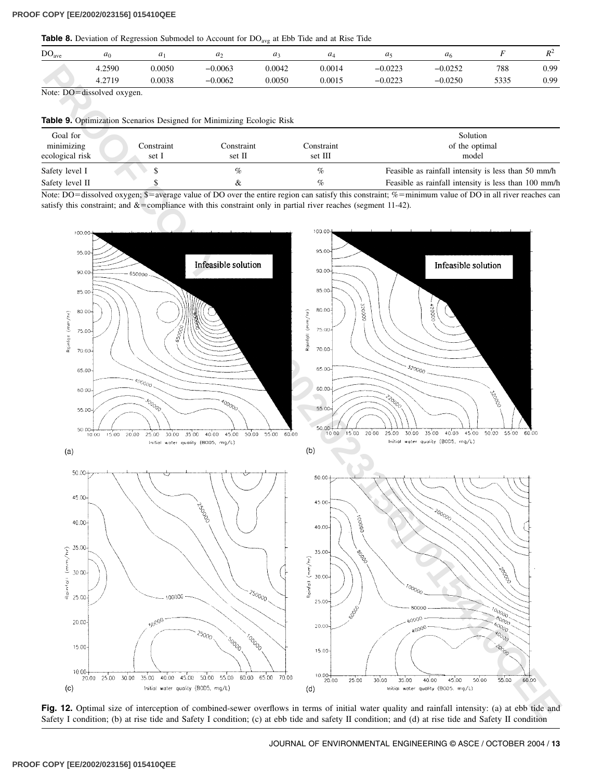**Table 8.** Deviation of Regression Submodel to Account for DO<sub>avg</sub> at Ebb Tide and at Rise Tide

| DO <sub>ave</sub> | $a_0$  |        | $\iota$   | $a_{\hat{}}$ | a <sub>4</sub> | a.        | a <sub>6</sub> |      | $\mathbf{D}^2$ |
|-------------------|--------|--------|-----------|--------------|----------------|-----------|----------------|------|----------------|
|                   | 4.2590 | 0.0050 | $-0.0063$ | 0.0042       | 0.0014         | $-0.0223$ | $-0.0252$      | 788  | 0.99           |
|                   | 4.2719 | 0.0038 | $-0.0062$ | 0.0050       | 0.0015         | $-0.0223$ | $-0.0250$      | 5335 | 0.99           |

Note: DO=dissolved oxygen.

**Table 9.** Optimization Scenarios Designed for Minimizing Ecologic Risk

| Goal for<br>minimizing<br>ecological risk | Constraint<br>set 1 | Constraint<br>set II | Constraint<br>set III | Solution<br>of the optimal<br>model                  |
|-------------------------------------------|---------------------|----------------------|-----------------------|------------------------------------------------------|
| Safety level I                            |                     | %                    | %                     | Feasible as rainfall intensity is less than 50 mm/h  |
| Safety level II                           |                     | ά                    | $\%$                  | Feasible as rainfall intensity is less than 100 mm/h |

Note: DO=dissolved oxygen;  $\frac{1}{2}$ =average value of DO over the entire region can satisfy this constraint; %=minimum value of DO in all river reaches can satisfy this constraint; and  $&$  = compliance with this constraint only in partial river reaches (segment 11-42).



**Fig. 12.** Optimal size of interception of combined-sewer overflows in terms of initial water quality and rainfall intensity: (a) at ebb tide and Safety I condition; (b) at rise tide and Safety I condition; (c) at ebb tide and safety II condition; and (d) at rise tide and Safety II condition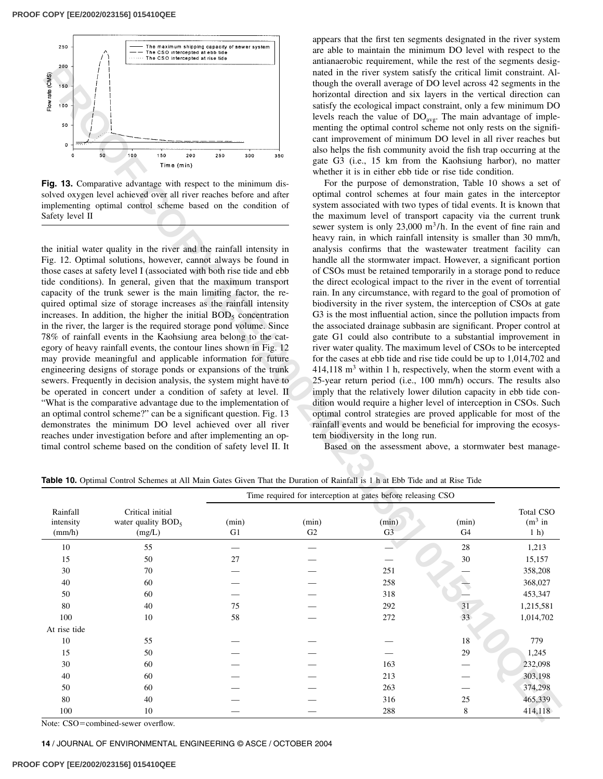

**Fig. 13.** Comparative advantage with respect to the minimum dissolved oxygen level achieved over all river reaches before and after implementing optimal control scheme based on the condition of Safety level II

appears that the first ten segments designated in the river system are able to maintain the minimum DO level with respect to the antianaerobic requirement, while the rest of the segments designated in the river system satisfy the critical limit constraint. Although the overall average of DO level across 42 segments in the horizontal direction and six layers in the vertical direction can satisfy the ecological impact constraint, only a few minimum DO levels reach the value of  $DO_{\text{avg}}$ . The main advantage of implementing the optimal control scheme not only rests on the significant improvement of minimum DO level in all river reaches but also helps the fish community avoid the fish trap occurring at the gate G3 (i.e., 15 km from the Kaohsiung harbor), no matter whether it is in either ebb tide or rise tide condition.

**Table 10.** Optimal Control Schemes at All Main Gates Given That the Duration of Rainfall is 1 h at Ebb Tide and at Rise Tide

| Flow rate (CMS)<br>100<br>50<br>0<br>Safety level II | 50<br>100<br>150<br>200<br>Time (min)<br>Fig. 13. Comparative advantage with respect to the minimum dis-<br>solved oxygen level achieved over all river reaches before and after<br>implementing optimal control scheme based on the condition of<br>the initial water quality in the river and the rainfall intensity in<br>Fig. 12. Optimal solutions, however, cannot always be found in<br>those cases at safety level I (associated with both rise tide and ebb<br>tide conditions). In general, given that the maximum transport<br>capacity of the trunk sewer is the main limiting factor, the re-<br>quired optimal size of storage increases as the rainfall intensity<br>increases. In addition, the higher the initial $BOD5$ concentration<br>in the river, the larger is the required storage pond volume. Since<br>78% of rainfall events in the Kaohsiung area belong to the cat-<br>egory of heavy rainfall events, the contour lines shown in Fig. 12<br>may provide meaningful and applicable information for future<br>engineering designs of storage ponds or expansions of the trunk<br>sewers. Frequently in decision analysis, the system might have to | 250<br>300 | 350   | horizontal direction and six layers in the vertical direction can<br>satisfy the ecological impact constraint, only a few minimum DO<br>levels reach the value of $DO_{avg}$ . The main advantage of imple-<br>menting the optimal control scheme not only rests on the signifi-<br>cant improvement of minimum DO level in all river reaches but<br>also helps the fish community avoid the fish trap occurring at the<br>gate G3 (i.e., 15 km from the Kaohsiung harbor), no matter<br>whether it is in either ebb tide or rise tide condition.<br>For the purpose of demonstration, Table 10 shows a set of<br>optimal control schemes at four main gates in the interceptor<br>system associated with two types of tidal events. It is known that<br>the maximum level of transport capacity via the current trunk<br>sewer system is only $23,000 \text{ m}^3/h$ . In the event of fine rain and<br>heavy rain, in which rainfall intensity is smaller than 30 mm/h,<br>analysis confirms that the wastewater treatment facility can<br>handle all the stormwater impact. However, a significant portion<br>of CSOs must be retained temporarily in a storage pond to reduce<br>the direct ecological impact to the river in the event of torrential<br>rain. In any circumstance, with regard to the goal of promotion of<br>biodiversity in the river system, the interception of CSOs at gate<br>G3 is the most influential action, since the pollution impacts from<br>the associated drainage subbasin are significant. Proper control at<br>gate G1 could also contribute to a substantial improvement in<br>river water quality. The maximum level of CSOs to be intercepted<br>for the cases at ebb tide and rise tide could be up to 1,014,702 and<br>$414,118$ m <sup>3</sup> within 1 h, respectively, when the storm event with a<br>25-year return period (i.e., 100 mm/h) occurs. The results also | though the overall average of DO level across 42 segments in the |                    |
|------------------------------------------------------|---------------------------------------------------------------------------------------------------------------------------------------------------------------------------------------------------------------------------------------------------------------------------------------------------------------------------------------------------------------------------------------------------------------------------------------------------------------------------------------------------------------------------------------------------------------------------------------------------------------------------------------------------------------------------------------------------------------------------------------------------------------------------------------------------------------------------------------------------------------------------------------------------------------------------------------------------------------------------------------------------------------------------------------------------------------------------------------------------------------------------------------------------------------------------------|------------|-------|-----------------------------------------------------------------------------------------------------------------------------------------------------------------------------------------------------------------------------------------------------------------------------------------------------------------------------------------------------------------------------------------------------------------------------------------------------------------------------------------------------------------------------------------------------------------------------------------------------------------------------------------------------------------------------------------------------------------------------------------------------------------------------------------------------------------------------------------------------------------------------------------------------------------------------------------------------------------------------------------------------------------------------------------------------------------------------------------------------------------------------------------------------------------------------------------------------------------------------------------------------------------------------------------------------------------------------------------------------------------------------------------------------------------------------------------------------------------------------------------------------------------------------------------------------------------------------------------------------------------------------------------------------------------------------------------------------------------------------------------------------------------------------------------------------------------------------------------------------------------------------------------------------------------------|------------------------------------------------------------------|--------------------|
|                                                      | be operated in concert under a condition of safety at level. II<br>"What is the comparative advantage due to the implementation of<br>an optimal control scheme?" can be a significant question. Fig. 13<br>demonstrates the minimum DO level achieved over all river<br>reaches under investigation before and after implementing an op-<br>timal control scheme based on the condition of safety level II. It                                                                                                                                                                                                                                                                                                                                                                                                                                                                                                                                                                                                                                                                                                                                                                 |            |       | imply that the relatively lower dilution capacity in ebb tide con-<br>dition would require a higher level of interception in CSOs. Such<br>optimal control strategies are proved applicable for most of the<br>rainfall events and would be beneficial for improving the ecosys-<br>tem biodiversity in the long run.<br>Based on the assessment above, a stormwater best manage-                                                                                                                                                                                                                                                                                                                                                                                                                                                                                                                                                                                                                                                                                                                                                                                                                                                                                                                                                                                                                                                                                                                                                                                                                                                                                                                                                                                                                                                                                                                                     |                                                                  |                    |
|                                                      | Table 10. Optimal Control Schemes at All Main Gates Given That the Duration of Rainfall is 1 h at Ebb Tide and at Rise Tide                                                                                                                                                                                                                                                                                                                                                                                                                                                                                                                                                                                                                                                                                                                                                                                                                                                                                                                                                                                                                                                     |            |       |                                                                                                                                                                                                                                                                                                                                                                                                                                                                                                                                                                                                                                                                                                                                                                                                                                                                                                                                                                                                                                                                                                                                                                                                                                                                                                                                                                                                                                                                                                                                                                                                                                                                                                                                                                                                                                                                                                                       |                                                                  |                    |
|                                                      |                                                                                                                                                                                                                                                                                                                                                                                                                                                                                                                                                                                                                                                                                                                                                                                                                                                                                                                                                                                                                                                                                                                                                                                 |            |       | Time required for interception at gates before releasing CSO                                                                                                                                                                                                                                                                                                                                                                                                                                                                                                                                                                                                                                                                                                                                                                                                                                                                                                                                                                                                                                                                                                                                                                                                                                                                                                                                                                                                                                                                                                                                                                                                                                                                                                                                                                                                                                                          |                                                                  |                    |
| Rainfall                                             | Critical initial                                                                                                                                                                                                                                                                                                                                                                                                                                                                                                                                                                                                                                                                                                                                                                                                                                                                                                                                                                                                                                                                                                                                                                |            |       |                                                                                                                                                                                                                                                                                                                                                                                                                                                                                                                                                                                                                                                                                                                                                                                                                                                                                                                                                                                                                                                                                                                                                                                                                                                                                                                                                                                                                                                                                                                                                                                                                                                                                                                                                                                                                                                                                                                       |                                                                  | Total CSO          |
| intensity                                            | water quality $BOD5$                                                                                                                                                                                                                                                                                                                                                                                                                                                                                                                                                                                                                                                                                                                                                                                                                                                                                                                                                                                                                                                                                                                                                            | (min)      | (min) | (min)                                                                                                                                                                                                                                                                                                                                                                                                                                                                                                                                                                                                                                                                                                                                                                                                                                                                                                                                                                                                                                                                                                                                                                                                                                                                                                                                                                                                                                                                                                                                                                                                                                                                                                                                                                                                                                                                                                                 | (min)                                                            | $(m^3$ in          |
| (mm/h)                                               | (mg/L)                                                                                                                                                                                                                                                                                                                                                                                                                                                                                                                                                                                                                                                                                                                                                                                                                                                                                                                                                                                                                                                                                                                                                                          | G1         | G2    | G <sub>3</sub>                                                                                                                                                                                                                                                                                                                                                                                                                                                                                                                                                                                                                                                                                                                                                                                                                                                                                                                                                                                                                                                                                                                                                                                                                                                                                                                                                                                                                                                                                                                                                                                                                                                                                                                                                                                                                                                                                                        | G <sub>4</sub>                                                   | $1h$ )             |
| $10\,$                                               | 55                                                                                                                                                                                                                                                                                                                                                                                                                                                                                                                                                                                                                                                                                                                                                                                                                                                                                                                                                                                                                                                                                                                                                                              |            |       |                                                                                                                                                                                                                                                                                                                                                                                                                                                                                                                                                                                                                                                                                                                                                                                                                                                                                                                                                                                                                                                                                                                                                                                                                                                                                                                                                                                                                                                                                                                                                                                                                                                                                                                                                                                                                                                                                                                       | 28                                                               | 1,213              |
| 15                                                   | 50                                                                                                                                                                                                                                                                                                                                                                                                                                                                                                                                                                                                                                                                                                                                                                                                                                                                                                                                                                                                                                                                                                                                                                              | 27         |       |                                                                                                                                                                                                                                                                                                                                                                                                                                                                                                                                                                                                                                                                                                                                                                                                                                                                                                                                                                                                                                                                                                                                                                                                                                                                                                                                                                                                                                                                                                                                                                                                                                                                                                                                                                                                                                                                                                                       | 30                                                               | 15,157             |
| 30                                                   | $70\,$                                                                                                                                                                                                                                                                                                                                                                                                                                                                                                                                                                                                                                                                                                                                                                                                                                                                                                                                                                                                                                                                                                                                                                          |            |       | 251                                                                                                                                                                                                                                                                                                                                                                                                                                                                                                                                                                                                                                                                                                                                                                                                                                                                                                                                                                                                                                                                                                                                                                                                                                                                                                                                                                                                                                                                                                                                                                                                                                                                                                                                                                                                                                                                                                                   |                                                                  | 358,208            |
| 40                                                   | 60                                                                                                                                                                                                                                                                                                                                                                                                                                                                                                                                                                                                                                                                                                                                                                                                                                                                                                                                                                                                                                                                                                                                                                              |            |       | 258                                                                                                                                                                                                                                                                                                                                                                                                                                                                                                                                                                                                                                                                                                                                                                                                                                                                                                                                                                                                                                                                                                                                                                                                                                                                                                                                                                                                                                                                                                                                                                                                                                                                                                                                                                                                                                                                                                                   |                                                                  | 368,027            |
| 50                                                   | 60                                                                                                                                                                                                                                                                                                                                                                                                                                                                                                                                                                                                                                                                                                                                                                                                                                                                                                                                                                                                                                                                                                                                                                              |            |       | 318                                                                                                                                                                                                                                                                                                                                                                                                                                                                                                                                                                                                                                                                                                                                                                                                                                                                                                                                                                                                                                                                                                                                                                                                                                                                                                                                                                                                                                                                                                                                                                                                                                                                                                                                                                                                                                                                                                                   |                                                                  | 453,347            |
| 80                                                   | 40                                                                                                                                                                                                                                                                                                                                                                                                                                                                                                                                                                                                                                                                                                                                                                                                                                                                                                                                                                                                                                                                                                                                                                              | 75         |       | 292                                                                                                                                                                                                                                                                                                                                                                                                                                                                                                                                                                                                                                                                                                                                                                                                                                                                                                                                                                                                                                                                                                                                                                                                                                                                                                                                                                                                                                                                                                                                                                                                                                                                                                                                                                                                                                                                                                                   | 31                                                               | 1,215,581          |
|                                                      | 10                                                                                                                                                                                                                                                                                                                                                                                                                                                                                                                                                                                                                                                                                                                                                                                                                                                                                                                                                                                                                                                                                                                                                                              |            |       |                                                                                                                                                                                                                                                                                                                                                                                                                                                                                                                                                                                                                                                                                                                                                                                                                                                                                                                                                                                                                                                                                                                                                                                                                                                                                                                                                                                                                                                                                                                                                                                                                                                                                                                                                                                                                                                                                                                       |                                                                  |                    |
| 100                                                  |                                                                                                                                                                                                                                                                                                                                                                                                                                                                                                                                                                                                                                                                                                                                                                                                                                                                                                                                                                                                                                                                                                                                                                                 | 58         |       | 272                                                                                                                                                                                                                                                                                                                                                                                                                                                                                                                                                                                                                                                                                                                                                                                                                                                                                                                                                                                                                                                                                                                                                                                                                                                                                                                                                                                                                                                                                                                                                                                                                                                                                                                                                                                                                                                                                                                   | 33                                                               | 1,014,702          |
| At rise tide                                         |                                                                                                                                                                                                                                                                                                                                                                                                                                                                                                                                                                                                                                                                                                                                                                                                                                                                                                                                                                                                                                                                                                                                                                                 |            |       |                                                                                                                                                                                                                                                                                                                                                                                                                                                                                                                                                                                                                                                                                                                                                                                                                                                                                                                                                                                                                                                                                                                                                                                                                                                                                                                                                                                                                                                                                                                                                                                                                                                                                                                                                                                                                                                                                                                       |                                                                  |                    |
| 10                                                   | 55                                                                                                                                                                                                                                                                                                                                                                                                                                                                                                                                                                                                                                                                                                                                                                                                                                                                                                                                                                                                                                                                                                                                                                              |            |       |                                                                                                                                                                                                                                                                                                                                                                                                                                                                                                                                                                                                                                                                                                                                                                                                                                                                                                                                                                                                                                                                                                                                                                                                                                                                                                                                                                                                                                                                                                                                                                                                                                                                                                                                                                                                                                                                                                                       | 18                                                               | 779                |
| 15                                                   | 50                                                                                                                                                                                                                                                                                                                                                                                                                                                                                                                                                                                                                                                                                                                                                                                                                                                                                                                                                                                                                                                                                                                                                                              |            |       |                                                                                                                                                                                                                                                                                                                                                                                                                                                                                                                                                                                                                                                                                                                                                                                                                                                                                                                                                                                                                                                                                                                                                                                                                                                                                                                                                                                                                                                                                                                                                                                                                                                                                                                                                                                                                                                                                                                       | 29                                                               | 1,245              |
| 30                                                   | 60                                                                                                                                                                                                                                                                                                                                                                                                                                                                                                                                                                                                                                                                                                                                                                                                                                                                                                                                                                                                                                                                                                                                                                              |            |       | 163                                                                                                                                                                                                                                                                                                                                                                                                                                                                                                                                                                                                                                                                                                                                                                                                                                                                                                                                                                                                                                                                                                                                                                                                                                                                                                                                                                                                                                                                                                                                                                                                                                                                                                                                                                                                                                                                                                                   |                                                                  | 232,098            |
| 40                                                   | 60                                                                                                                                                                                                                                                                                                                                                                                                                                                                                                                                                                                                                                                                                                                                                                                                                                                                                                                                                                                                                                                                                                                                                                              |            |       | 213                                                                                                                                                                                                                                                                                                                                                                                                                                                                                                                                                                                                                                                                                                                                                                                                                                                                                                                                                                                                                                                                                                                                                                                                                                                                                                                                                                                                                                                                                                                                                                                                                                                                                                                                                                                                                                                                                                                   |                                                                  | 303,198            |
| 50                                                   | 60                                                                                                                                                                                                                                                                                                                                                                                                                                                                                                                                                                                                                                                                                                                                                                                                                                                                                                                                                                                                                                                                                                                                                                              |            |       | 263                                                                                                                                                                                                                                                                                                                                                                                                                                                                                                                                                                                                                                                                                                                                                                                                                                                                                                                                                                                                                                                                                                                                                                                                                                                                                                                                                                                                                                                                                                                                                                                                                                                                                                                                                                                                                                                                                                                   |                                                                  | 374,298            |
| 80                                                   | 40                                                                                                                                                                                                                                                                                                                                                                                                                                                                                                                                                                                                                                                                                                                                                                                                                                                                                                                                                                                                                                                                                                                                                                              |            |       | 316<br>288                                                                                                                                                                                                                                                                                                                                                                                                                                                                                                                                                                                                                                                                                                                                                                                                                                                                                                                                                                                                                                                                                                                                                                                                                                                                                                                                                                                                                                                                                                                                                                                                                                                                                                                                                                                                                                                                                                            | 25                                                               | 465,339<br>414,118 |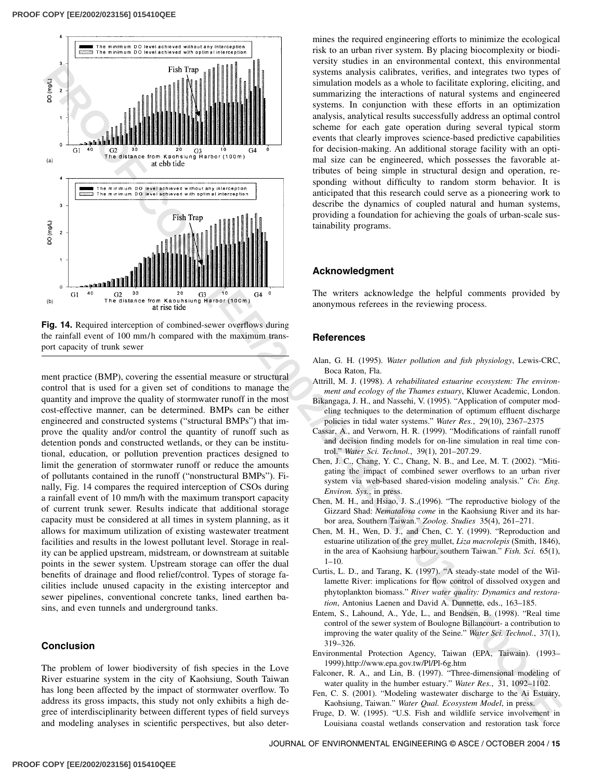

**Fig. 14.** Required interception of combined-sewer overflows during the rainfall event of 100 mm/h compared with the maximum transport capacity of trunk sewer

ment practice (BMP), covering the essential measure or structural control that is used for a given set of conditions to manage the quantity and improve the quality of stormwater runoff in the most cost-effective manner, can be determined. BMPs can be either engineered and constructed systems ("structural BMPs") that improve the quality and/or control the quantity of runoff such as detention ponds and constructed wetlands, or they can be institutional, education, or pollution prevention practices designed to limit the generation of stormwater runoff or reduce the amounts of pollutants contained in the runoff ("nonstructural BMPs"). Finally, Fig. 14 compares the required interception of CSOs during a rainfall event of 10 mm/h with the maximum transport capacity of current trunk sewer. Results indicate that additional storage capacity must be considered at all times in system planning, as it allows for maximum utilization of existing wastewater treatment facilities and results in the lowest pollutant level. Storage in reality can be applied upstream, midstream, or downstream at suitable points in the sewer system. Upstream storage can offer the dual benefits of drainage and flood relief/control. Types of storage facilities include unused capacity in the existing interceptor and sewer pipelines, conventional concrete tanks, lined earthen basins, and even tunnels and underground tanks.

## **Conclusion**

The problem of lower biodiversity of fish species in the Love River estuarine system in the city of Kaohsiung, South Taiwan has long been affected by the impact of stormwater overflow. To address its gross impacts, this study not only exhibits a high degree of interdisciplinarity between different types of field surveys and modeling analyses in scientific perspectives, but also determines the required engineering efforts to minimize the ecological risk to an urban river system. By placing biocomplexity or biodiversity studies in an environmental context, this environmental systems analysis calibrates, verifies, and integrates two types of simulation models as a whole to facilitate exploring, eliciting, and summarizing the interactions of natural systems and engineered systems. In conjunction with these efforts in an optimization analysis, analytical results successfully address an optimal control scheme for each gate operation during several typical storm events that clearly improves science-based predictive capabilities for decision-making. An additional storage facility with an optimal size can be engineered, which possesses the favorable attributes of being simple in structural design and operation, responding without difficulty to random storm behavior. It is anticipated that this research could serve as a pioneering work to describe the dynamics of coupled natural and human systems, providing a foundation for achieving the goals of urban-scale sustainability programs.

## **Acknowledgment**

The writers acknowledge the helpful comments provided by anonymous referees in the reviewing process.

## **References**

- Alan, G. H. (1995). *Water pollution and fish physiology*, Lewis-CRC, Boca Raton, Fla.
- Attrill, M. J. (1998). *A rehabilitated estuarine ecosystem: The environment and ecology of the Thames estuary*, Kluwer Academic, London.
- Bikangaga, J. H., and Nassehi, V. (1995). "Application of computer modeling techniques to the determination of optimum effluent discharge policies in tidal water systems." *Water Res.*, 29(10), 2367–2375
- Cassar, A., and Verworn, H. R. (1999). "Modifications of rainfall runoff and decision finding models for on-line simulation in real time control." *Water Sci. Technol.*, 39(1), 201–207.29.
- Chen, J. C., Chang, Y. C., Chang, N. B., and Lee, M. T. (2002). "Mitigating the impact of combined sewer overflows to an urban river system via web-based shared-vision modeling analysis." *Civ. Eng. Environ. Sys.*, in press.
- Chen, M. H., and Hsiao, J. S.,(1996). "The reproductive biology of the Gizzard Shad: *Nematalosa come* in the Kaohsiung River and its harbor area, Southern Taiwan." *Zoolog. Studies* 35(4), 261–271.
- Chen, M. H., Wen, D. J., and Chen, C. Y. (1999). "Reproduction and estuarine utilization of the grey mullet, *Liza macrolepis* (Smith, 1846), in the area of Kaohsiung harbour, southern Taiwan." *Fish. Sci.* 65(1),  $1 - 10$ .
- Curtis, L. D., and Tarang, K. (1997). "A steady-state model of the Willamette River: implications for flow control of dissolved oxygen and phytoplankton biomass." *River water quality: Dynamics and restoration*, Antonius Laenen and David A. Dunnette, eds., 163–185.
- Entem, S., Lahound, A., Yde, L., and Bendsen, B. (1998). "Real time control of the sewer system of Boulogne Billancourt- a contribution to improving the water quality of the Seine." *Water Sci. Technol.*, 37(1), 319–326.
- Environmental Protection Agency, Taiwan (EPA, Taiwain). (1993– 1999).http://www.epa.gov.tw/Pl/Pl-6g.htm
- Falconer, R. A., and Lin, B. (1997). "Three-dimensional modeling of water quality in the humber estuary." *Water Res.*, 31, 1092–1102.
- Fen, C. S. (2001). "Modeling wastewater discharge to the Ai Estuary, Kaohsiung, Taiwan." *Water Qual. Ecosystem Model*, in press.
- Fruge, D. W. (1995). "U.S. Fish and wildlife service involvement in Louisiana coastal wetlands conservation and restoration task force